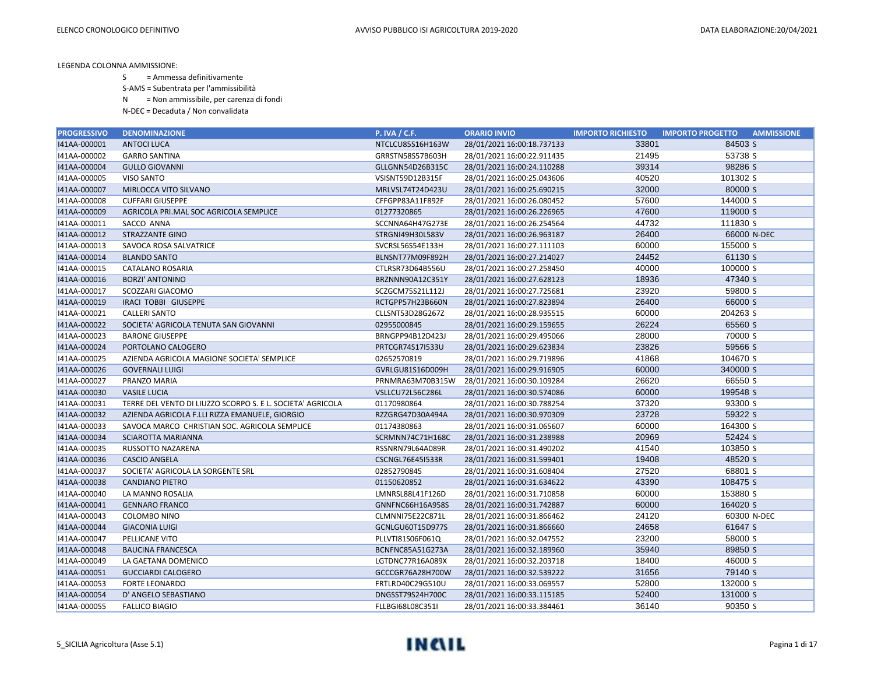S = Ammessa definitivamente

S-AMS = Subentrata per l'ammissibilità

N = Non ammissibile, per carenza di fondi

| <b>PROGRESSIVO</b> | <b>DENOMINAZIONE</b>                                       | <b>P. IVA / C.F.</b>    | <b>ORARIO INVIO</b>        | <b>IMPORTO RICHIESTO</b> | <b>IMPORTO PROGETTO</b><br><b>AMMISSIONE</b> |
|--------------------|------------------------------------------------------------|-------------------------|----------------------------|--------------------------|----------------------------------------------|
| 141AA-000001       | <b>ANTOCI LUCA</b>                                         | NTCLCU85S16H163W        | 28/01/2021 16:00:18.737133 | 33801                    | 84503 S                                      |
| I41AA-000002       | <b>GARRO SANTINA</b>                                       | GRRSTN58S57B603H        | 28/01/2021 16:00:22.911435 | 21495                    | 53738 S                                      |
| I41AA-000004       | <b>GULLO GIOVANNI</b>                                      | GLLGNN54D26B315C        | 28/01/2021 16:00:24.110288 | 39314                    | 98286 S                                      |
| I41AA-000005       | <b>VISO SANTO</b>                                          | VSISNT59D12B315F        | 28/01/2021 16:00:25.043606 | 40520                    | 101302 S                                     |
| I41AA-000007       | MIRLOCCA VITO SILVANO                                      | MRLVSL74T24D423U        | 28/01/2021 16:00:25.690215 | 32000                    | 80000 S                                      |
| I41AA-000008       | <b>CUFFARI GIUSEPPE</b>                                    | CFFGPP83A11F892F        | 28/01/2021 16:00:26.080452 | 57600                    | 144000 S                                     |
| I41AA-000009       | AGRICOLA PRI.MAL SOC AGRICOLA SEMPLICE                     | 01277320865             | 28/01/2021 16:00:26.226965 | 47600                    | 119000 S                                     |
| I41AA-000011       | SACCO ANNA                                                 | SCCNNA64H47G273E        | 28/01/2021 16:00:26.254564 | 44732                    | 111830 S                                     |
| I41AA-000012       | <b>STRAZZANTE GINO</b>                                     | STRGNI49H30L583V        | 28/01/2021 16:00:26.963187 | 26400                    | 66000 N-DEC                                  |
| I41AA-000013       | SAVOCA ROSA SALVATRICE                                     | SVCRSL56S54E133H        | 28/01/2021 16:00:27.111103 | 60000                    | 155000 S                                     |
| I41AA-000014       | <b>BLANDO SANTO</b>                                        | BLNSNT77M09F892H        | 28/01/2021 16:00:27.214027 | 24452                    | 61130 S                                      |
| I41AA-000015       | <b>CATALANO ROSARIA</b>                                    | CTLRSR73D64B556U        | 28/01/2021 16:00:27.258450 | 40000                    | 100000 S                                     |
| 141AA-000016       | <b>BORZI' ANTONINO</b>                                     | BRZNNN90A12C351Y        | 28/01/2021 16:00:27.628123 | 18936                    | 47340 S                                      |
| I41AA-000017       | SCOZZARI GIACOMO                                           | SCZGCM75S21L112J        | 28/01/2021 16:00:27.725681 | 23920                    | 59800 S                                      |
| I41AA-000019       | IRACI TOBBI GIUSEPPE                                       | RCTGPP57H23B660N        | 28/01/2021 16:00:27.823894 | 26400                    | 66000 S                                      |
| I41AA-000021       | <b>CALLERI SANTO</b>                                       | CLLSNT53D28G267Z        | 28/01/2021 16:00:28.935515 | 60000                    | 204263 S                                     |
| 141AA-000022       | SOCIETA' AGRICOLA TENUTA SAN GIOVANNI                      | 02955000845             | 28/01/2021 16:00:29.159655 | 26224                    | 65560 S                                      |
| I41AA-000023       | <b>BARONE GIUSEPPE</b>                                     | BRNGPP94B12D423J        | 28/01/2021 16:00:29.495066 | 28000                    | 70000 S                                      |
| I41AA-000024       | PORTOLANO CALOGERO                                         | PRTCGR74S17I533U        | 28/01/2021 16:00:29.623834 | 23826                    | 59566 S                                      |
| I41AA-000025       | AZIENDA AGRICOLA MAGIONE SOCIETA' SEMPLICE                 | 02652570819             | 28/01/2021 16:00:29.719896 | 41868                    | 104670 S                                     |
| 141AA-000026       | <b>GOVERNALI LUIGI</b>                                     | GVRLGU81S16D009H        | 28/01/2021 16:00:29.916905 | 60000                    | 340000 S                                     |
| I41AA-000027       | PRANZO MARIA                                               | PRNMRA63M70B315W        | 28/01/2021 16:00:30.109284 | 26620                    | 66550 S                                      |
| I41AA-000030       | <b>VASILE LUCIA</b>                                        | VSLLCU72L56C286L        | 28/01/2021 16:00:30.574086 | 60000                    | 199548 S                                     |
| I41AA-000031       | TERRE DEL VENTO DI LIUZZO SCORPO S. E L. SOCIETA' AGRICOLA | 01170980864             | 28/01/2021 16:00:30.788254 | 37320                    | 93300 S                                      |
| 141AA-000032       | AZIENDA AGRICOLA F.LLI RIZZA EMANUELE, GIORGIO             | RZZGRG47D30A494A        | 28/01/2021 16:00:30.970309 | 23728                    | 59322 S                                      |
| I41AA-000033       | SAVOCA MARCO CHRISTIAN SOC. AGRICOLA SEMPLICE              | 01174380863             | 28/01/2021 16:00:31.065607 | 60000                    | 164300 S                                     |
| I41AA-000034       | SCIAROTTA MARIANNA                                         | SCRMNN74C71H168C        | 28/01/2021 16:00:31.238988 | 20969                    | 52424 S                                      |
| I41AA-000035       | RUSSOTTO NAZARENA                                          | RSSNRN79L64A089R        | 28/01/2021 16:00:31.490202 | 41540                    | 103850 S                                     |
| 141AA-000036       | <b>CASCIO ANGELA</b>                                       | <b>CSCNGL76E45I533R</b> | 28/01/2021 16:00:31.599401 | 19408                    | 48520 S                                      |
| I41AA-000037       | SOCIETA' AGRICOLA LA SORGENTE SRL                          | 02852790845             | 28/01/2021 16:00:31.608404 | 27520                    | 68801 S                                      |
| I41AA-000038       | <b>CANDIANO PIETRO</b>                                     | 01150620852             | 28/01/2021 16:00:31.634622 | 43390                    | 108475 S                                     |
| I41AA-000040       | LA MANNO ROSALIA                                           | LMNRSL88L41F126D        | 28/01/2021 16:00:31.710858 | 60000                    | 153880 S                                     |
| I41AA-000041       | <b>GENNARO FRANCO</b>                                      | GNNFNC66H16A958S        | 28/01/2021 16:00:31.742887 | 60000                    | 164020 S                                     |
| I41AA-000043       | <b>COLOMBO NINO</b>                                        | CLMNNI75E22C871L        | 28/01/2021 16:00:31.866462 | 24120                    | 60300 N-DEC                                  |
| I41AA-000044       | <b>GIACONIA LUIGI</b>                                      | GCNLGU60T15D977S        | 28/01/2021 16:00:31.866660 | 24658                    | 61647 S                                      |
| I41AA-000047       | PELLICANE VITO                                             | PLLVTI81S06F061Q        | 28/01/2021 16:00:32.047552 | 23200                    | 58000 S                                      |
| 141AA-000048       | <b>BAUCINA FRANCESCA</b>                                   | BCNFNC85A51G273A        | 28/01/2021 16:00:32.189960 | 35940                    | 89850 S                                      |
| I41AA-000049       | LA GAETANA DOMENICO                                        | LGTDNC77R16A089X        | 28/01/2021 16:00:32.203718 | 18400                    | 46000 S                                      |
| I41AA-000051       | <b>GUCCIARDI CALOGERO</b>                                  | GCCCGR76A28H700W        | 28/01/2021 16:00:32.539222 | 31656                    | 79140 S                                      |
| I41AA-000053       | <b>FORTE LEONARDO</b>                                      | FRTLRD40C29G510U        | 28/01/2021 16:00:33.069557 | 52800                    | 132000 S                                     |
| 141AA-000054       | D' ANGELO SEBASTIANO                                       | DNGSST79S24H700C        | 28/01/2021 16:00:33.115185 | 52400                    | 131000 S                                     |
| 141AA-000055       | <b>FALLICO BIAGIO</b>                                      | FLLBGI68L08C351I        | 28/01/2021 16:00:33.384461 | 36140                    | 90350 S                                      |

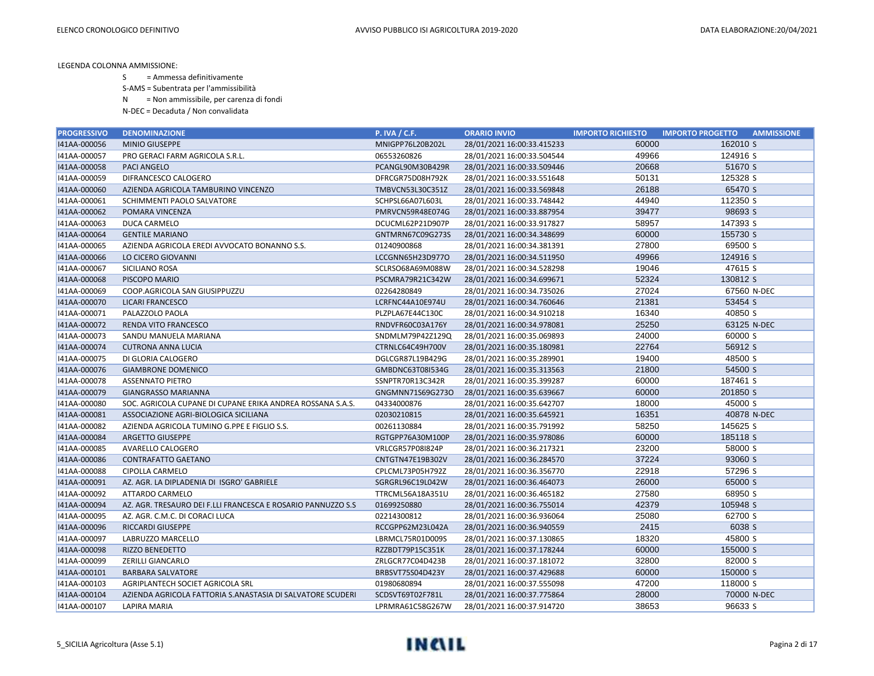S = Ammessa definitivamente

S-AMS = Subentrata per l'ammissibilità

N = Non ammissibile, per carenza di fondi

| <b>PROGRESSIVO</b> | <b>DENOMINAZIONE</b>                                         | <b>P. IVA / C.F.</b> | <b>ORARIO INVIO</b>        | <b>IMPORTO RICHIESTO</b> | <b>IMPORTO PROGETTO</b><br><b>AMMISSIONE</b> |
|--------------------|--------------------------------------------------------------|----------------------|----------------------------|--------------------------|----------------------------------------------|
| I41AA-000056       | <b>MINIO GIUSEPPE</b>                                        | MNIGPP76L20B202L     | 28/01/2021 16:00:33.415233 | 60000                    | 162010 S                                     |
| I41AA-000057       | PRO GERACI FARM AGRICOLA S.R.L.                              | 06553260826          | 28/01/2021 16:00:33.504544 | 49966                    | 124916 S                                     |
| I41AA-000058       | <b>PACI ANGELO</b>                                           | PCANGL90M30B429R     | 28/01/2021 16:00:33.509446 | 20668                    | 51670 S                                      |
| I41AA-000059       | DIFRANCESCO CALOGERO                                         | DFRCGR75D08H792K     | 28/01/2021 16:00:33.551648 | 50131                    | 125328 S                                     |
| I41AA-000060       | AZIENDA AGRICOLA TAMBURINO VINCENZO                          | TMBVCN53L30C351Z     | 28/01/2021 16:00:33.569848 | 26188                    | 65470 S                                      |
| I41AA-000061       | SCHIMMENTI PAOLO SALVATORE                                   | SCHPSL66A07L603L     | 28/01/2021 16:00:33.748442 | 44940                    | 112350 S                                     |
| I41AA-000062       | POMARA VINCENZA                                              | PMRVCN59R48E074G     | 28/01/2021 16:00:33.887954 | 39477                    | 98693 S                                      |
| I41AA-000063       | <b>DUCA CARMELO</b>                                          | DCUCML62P21D907P     | 28/01/2021 16:00:33.917827 | 58957                    | 147393 S                                     |
| I41AA-000064       | <b>GENTILE MARIANO</b>                                       | GNTMRN67C09G273S     | 28/01/2021 16:00:34.348699 | 60000                    | 155730 S                                     |
| I41AA-000065       | AZIENDA AGRICOLA EREDI AVVOCATO BONANNO S.S.                 | 01240900868          | 28/01/2021 16:00:34.381391 | 27800                    | 69500 S                                      |
| I41AA-000066       | LO CICERO GIOVANNI                                           | LCCGNN65H23D977O     | 28/01/2021 16:00:34.511950 | 49966                    | 124916 S                                     |
| I41AA-000067       | SICILIANO ROSA                                               | SCLRSO68A69M088W     | 28/01/2021 16:00:34.528298 | 19046                    | 47615 S                                      |
| I41AA-000068       | PISCOPO MARIO                                                | PSCMRA79R21C342W     | 28/01/2021 16:00:34.699671 | 52324                    | 130812 S                                     |
| I41AA-000069       | COOP.AGRICOLA SAN GIUSIPPUZZU                                | 02264280849          | 28/01/2021 16:00:34.735026 | 27024                    | 67560 N-DEC                                  |
| I41AA-000070       | <b>LICARI FRANCESCO</b>                                      | LCRFNC44A10E974U     | 28/01/2021 16:00:34.760646 | 21381                    | 53454 S                                      |
| I41AA-000071       | PALAZZOLO PAOLA                                              | PLZPLA67E44C130C     | 28/01/2021 16:00:34.910218 | 16340                    | 40850 S                                      |
| 141AA-000072       | RENDA VITO FRANCESCO                                         | RNDVFR60C03A176Y     | 28/01/2021 16:00:34.978081 | 25250                    | 63125 N-DEC                                  |
| I41AA-000073       | SANDU MANUELA MARIANA                                        | SNDMLM79P42Z129Q     | 28/01/2021 16:00:35.069893 | 24000                    | 60000 S                                      |
| I41AA-000074       | <b>CUTRONA ANNA LUCIA</b>                                    | CTRNLC64C49H700V     | 28/01/2021 16:00:35.180981 | 22764                    | 56912 S                                      |
| I41AA-000075       | DI GLORIA CALOGERO                                           | DGLCGR87L19B429G     | 28/01/2021 16:00:35.289901 | 19400                    | 48500 S                                      |
| 141AA-000076       | <b>GIAMBRONE DOMENICO</b>                                    | GMBDNC63T08I534G     | 28/01/2021 16:00:35.313563 | 21800                    | 54500 S                                      |
| I41AA-000078       | <b>ASSENNATO PIETRO</b>                                      | SSNPTR70R13C342R     | 28/01/2021 16:00:35.399287 | 60000                    | 187461 S                                     |
| I41AA-000079       | <b>GIANGRASSO MARIANNA</b>                                   | GNGMNN71S69G273O     | 28/01/2021 16:00:35.639667 | 60000                    | 201850 S                                     |
| I41AA-000080       | SOC. AGRICOLA CUPANE DI CUPANE ERIKA ANDREA ROSSANA S.A.S.   | 04334000876          | 28/01/2021 16:00:35.642707 | 18000                    | 45000 S                                      |
| 141AA-000081       | ASSOCIAZIONE AGRI-BIOLOGICA SICILIANA                        | 02030210815          | 28/01/2021 16:00:35.645921 | 16351                    | 40878 N-DEC                                  |
| I41AA-000082       | AZIENDA AGRICOLA TUMINO G.PPE E FIGLIO S.S.                  | 00261130884          | 28/01/2021 16:00:35.791992 | 58250                    | 145625 S                                     |
| I41AA-000084       | <b>ARGETTO GIUSEPPE</b>                                      | RGTGPP76A30M100P     | 28/01/2021 16:00:35.978086 | 60000                    | 185118 S                                     |
| I41AA-000085       | AVARELLO CALOGERO                                            | VRLCGR57P08I824P     | 28/01/2021 16:00:36.217321 | 23200                    | 58000 S                                      |
| I41AA-000086       | <b>CONTRAFATTO GAETANO</b>                                   | CNTGTN47E19B302V     | 28/01/2021 16:00:36.284570 | 37224                    | 93060 S                                      |
| I41AA-000088       | <b>CIPOLLA CARMELO</b>                                       | CPLCML73P05H792Z     | 28/01/2021 16:00:36.356770 | 22918                    | 57296 S                                      |
| I41AA-000091       | AZ. AGR. LA DIPLADENIA DI ISGRO' GABRIELE                    | SGRGRL96C19L042W     | 28/01/2021 16:00:36.464073 | 26000                    | 65000 S                                      |
| I41AA-000092       | ATTARDO CARMELO                                              | TTRCML56A18A351U     | 28/01/2021 16:00:36.465182 | 27580                    | 68950 S                                      |
| I41AA-000094       | AZ. AGR. TRESAURO DEI F.LLI FRANCESCA E ROSARIO PANNUZZO S.S | 01699250880          | 28/01/2021 16:00:36.755014 | 42379                    | 105948 S                                     |
| I41AA-000095       | AZ. AGR. C.M.C. DI CORACI LUCA                               | 02214300812          | 28/01/2021 16:00:36.936064 | 25080                    | 62700 S                                      |
| I41AA-000096       | <b>RICCARDI GIUSEPPE</b>                                     | RCCGPP62M23L042A     | 28/01/2021 16:00:36.940559 | 2415                     | 6038 S                                       |
| I41AA-000097       | LABRUZZO MARCELLO                                            | LBRMCL75R01D009S     | 28/01/2021 16:00:37.130865 | 18320                    | 45800 S                                      |
| 141AA-000098       | <b>RIZZO BENEDETTO</b>                                       | RZZBDT79P15C351K     | 28/01/2021 16:00:37.178244 | 60000                    | 155000 S                                     |
| I41AA-000099       | <b>ZERILLI GIANCARLO</b>                                     | ZRLGCR77C04D423B     | 28/01/2021 16:00:37.181072 | 32800                    | 82000 S                                      |
| I41AA-000101       | <b>BARBARA SALVATORE</b>                                     | BRBSVT75S04D423Y     | 28/01/2021 16:00:37.429688 | 60000                    | 150000 S                                     |
| I41AA-000103       | AGRIPLANTECH SOCIET AGRICOLA SRL                             | 01980680894          | 28/01/2021 16:00:37.555098 | 47200                    | 118000 S                                     |
| I41AA-000104       | AZIENDA AGRICOLA FATTORIA S.ANASTASIA DI SALVATORE SCUDERI   | SCDSVT69T02F781L     | 28/01/2021 16:00:37.775864 | 28000                    | 70000 N-DEC                                  |
| I41AA-000107       | <b>LAPIRA MARIA</b>                                          | LPRMRA61C58G267W     | 28/01/2021 16:00:37.914720 | 38653                    | 96633 S                                      |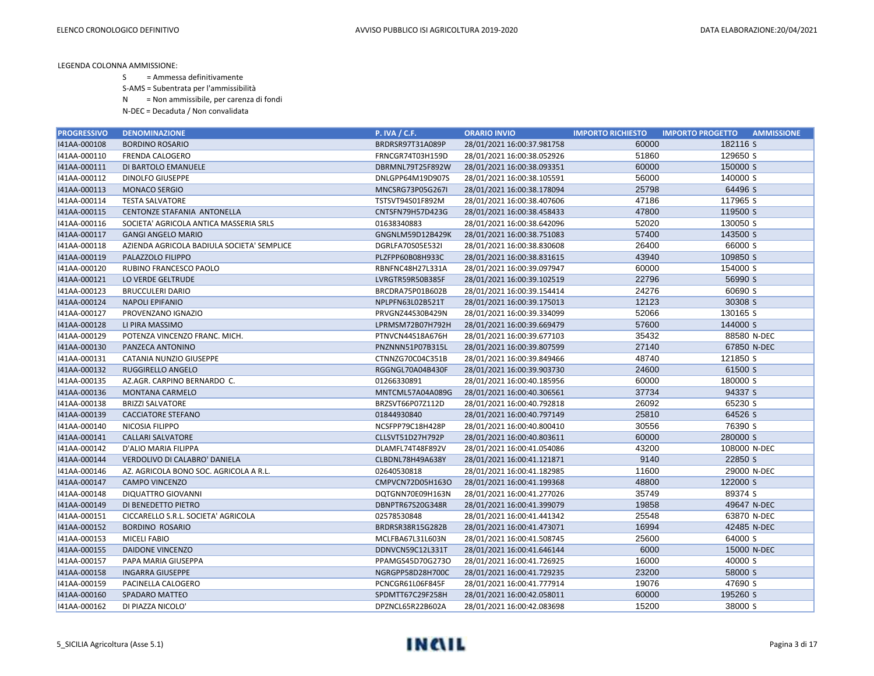S = Ammessa definitivamente

S-AMS = Subentrata per l'ammissibilità

N = Non ammissibile, per carenza di fondi

| <b>PROGRESSIVO</b> | <b>DENOMINAZIONE</b>                       | <b>P. IVA / C.F.</b> | <b>ORARIO INVIO</b>        | <b>IMPORTO RICHIESTO</b> | <b>IMPORTO PROGETTO</b><br><b>AMMISSIONE</b> |
|--------------------|--------------------------------------------|----------------------|----------------------------|--------------------------|----------------------------------------------|
| 141AA-000108       | <b>BORDINO ROSARIO</b>                     | BRDRSR97T31A089P     | 28/01/2021 16:00:37.981758 | 60000                    | 182116 S                                     |
| I41AA-000110       | <b>FRENDA CALOGERO</b>                     | FRNCGR74T03H159D     | 28/01/2021 16:00:38.052926 | 51860                    | 129650 S                                     |
| I41AA-000111       | DI BARTOLO EMANUELE                        | DBRMNL79T25F892W     | 28/01/2021 16:00:38.093351 | 60000                    | 150000 S                                     |
| I41AA-000112       | <b>DINOLFO GIUSEPPE</b>                    | DNLGPP64M19D907S     | 28/01/2021 16:00:38.105591 | 56000                    | 140000 S                                     |
| I41AA-000113       | MONACO SERGIO                              | MNCSRG73P05G267I     | 28/01/2021 16:00:38.178094 | 25798                    | 64496 S                                      |
| I41AA-000114       | <b>TESTA SALVATORE</b>                     | TSTSVT94S01F892M     | 28/01/2021 16:00:38.407606 | 47186                    | 117965 S                                     |
| I41AA-000115       | CENTONZE STAFANIA ANTONELLA                | CNTSFN79H57D423G     | 28/01/2021 16:00:38.458433 | 47800                    | 119500 S                                     |
| I41AA-000116       | SOCIETA' AGRICOLA ANTICA MASSERIA SRLS     | 01638340883          | 28/01/2021 16:00:38.642096 | 52020                    | 130050 S                                     |
| I41AA-000117       | <b>GANGI ANGELO MARIO</b>                  | GNGNLM59D12B429K     | 28/01/2021 16:00:38.751083 | 57400                    | 143500 S                                     |
| I41AA-000118       | AZIENDA AGRICOLA BADIULA SOCIETA' SEMPLICE | DGRLFA70S05E532I     | 28/01/2021 16:00:38.830608 | 26400                    | 66000 S                                      |
| I41AA-000119       | PALAZZOLO FILIPPO                          | PLZFPP60B08H933C     | 28/01/2021 16:00:38.831615 | 43940                    | 109850 S                                     |
| I41AA-000120       | RUBINO FRANCESCO PAOLO                     | RBNFNC48H27L331A     | 28/01/2021 16:00:39.097947 | 60000                    | 154000 S                                     |
| I41AA-000121       | LO VERDE GELTRUDE                          | LVRGTR59R50B385F     | 28/01/2021 16:00:39.102519 | 22796                    | 56990 S                                      |
| I41AA-000123       | <b>BRUCCULERI DARIO</b>                    | BRCDRA75P01B602B     | 28/01/2021 16:00:39.154414 | 24276                    | 60690 S                                      |
| I41AA-000124       | <b>NAPOLI EPIFANIO</b>                     | NPLPFN63L02B521T     | 28/01/2021 16:00:39.175013 | 12123                    | 30308 S                                      |
| I41AA-000127       | PROVENZANO IGNAZIO                         | PRVGNZ44S30B429N     | 28/01/2021 16:00:39.334099 | 52066                    | 130165 S                                     |
| 141AA-000128       | LI PIRA MASSIMO                            | LPRMSM72B07H792H     | 28/01/2021 16:00:39.669479 | 57600                    | 144000 S                                     |
| I41AA-000129       | POTENZA VINCENZO FRANC. MICH.              | PTNVCN44S18A676H     | 28/01/2021 16:00:39.677103 | 35432                    | 88580 N-DEC                                  |
| I41AA-000130       | PANZECA ANTONINO                           | PNZNNN51P07B315L     | 28/01/2021 16:00:39.807599 | 27140                    | 67850 N-DEC                                  |
| I41AA-000131       | CATANIA NUNZIO GIUSEPPE                    | CTNNZG70C04C351B     | 28/01/2021 16:00:39.849466 | 48740                    | 121850 S                                     |
| 141AA-000132       | RUGGIRELLO ANGELO                          | RGGNGL70A04B430F     | 28/01/2021 16:00:39.903730 | 24600                    | 61500 S                                      |
| I41AA-000135       | AZ.AGR. CARPINO BERNARDO C.                | 01266330891          | 28/01/2021 16:00:40.185956 | 60000                    | 180000 S                                     |
| I41AA-000136       | <b>MONTANA CARMELO</b>                     | MNTCML57A04A089G     | 28/01/2021 16:00:40.306561 | 37734                    | 94337 S                                      |
| I41AA-000138       | <b>BRIZZI SALVATORE</b>                    | BRZSVT66P07Z112D     | 28/01/2021 16:00:40.792818 | 26092                    | 65230 S                                      |
| I41AA-000139       | <b>CACCIATORE STEFANO</b>                  | 01844930840          | 28/01/2021 16:00:40.797149 | 25810                    | 64526 S                                      |
| I41AA-000140       | NICOSIA FILIPPO                            | NCSFPP79C18H428P     | 28/01/2021 16:00:40.800410 | 30556                    | 76390 S                                      |
| I41AA-000141       | <b>CALLARI SALVATORE</b>                   | CLLSVT51D27H792P     | 28/01/2021 16:00:40.803611 | 60000                    | 280000 S                                     |
| I41AA-000142       | D'ALIO MARIA FILIPPA                       | DLAMFL74T48F892V     | 28/01/2021 16:00:41.054086 | 43200                    | 108000 N-DEC                                 |
| 141AA-000144       | VERDOLIVO DI CALABRO' DANIELA              | CLBDNL78H49A638Y     | 28/01/2021 16:00:41.121871 | 9140                     | 22850 S                                      |
| I41AA-000146       | AZ. AGRICOLA BONO SOC. AGRICOLA A R.L.     | 02640530818          | 28/01/2021 16:00:41.182985 | 11600                    | 29000 N-DEC                                  |
| I41AA-000147       | <b>CAMPO VINCENZO</b>                      | CMPVCN72D05H163O     | 28/01/2021 16:00:41.199368 | 48800                    | 122000 S                                     |
| I41AA-000148       | <b>DIQUATTRO GIOVANNI</b>                  | DQTGNN70E09H163N     | 28/01/2021 16:00:41.277026 | 35749                    | 89374 S                                      |
| 141AA-000149       | DI BENEDETTO PIETRO                        | DBNPTR67S20G348R     | 28/01/2021 16:00:41.399079 | 19858                    | 49647 N-DEC                                  |
| I41AA-000151       | CICCARELLO S.R.L. SOCIETA' AGRICOLA        | 02578530848          | 28/01/2021 16:00:41.441342 | 25548                    | 63870 N-DEC                                  |
| I41AA-000152       | <b>BORDINO ROSARIO</b>                     | BRDRSR38R15G282B     | 28/01/2021 16:00:41.473071 | 16994                    | 42485 N-DEC                                  |
| I41AA-000153       | <b>MICELI FABIO</b>                        | MCLFBA67L31L603N     | 28/01/2021 16:00:41.508745 | 25600                    | 64000 S                                      |
| I41AA-000155       | <b>DAIDONE VINCENZO</b>                    | DDNVCN59C12L331T     | 28/01/2021 16:00:41.646144 | 6000                     | 15000 N-DEC                                  |
| I41AA-000157       | PAPA MARIA GIUSEPPA                        | PPAMGS45D70G273O     | 28/01/2021 16:00:41.726925 | 16000                    | 40000 S                                      |
| I41AA-000158       | <b>INGARRA GIUSEPPE</b>                    | NGRGPP58D28H700C     | 28/01/2021 16:00:41.729235 | 23200                    | 58000 S                                      |
| I41AA-000159       | PACINELLA CALOGERO                         | PCNCGR61L06F845F     | 28/01/2021 16:00:41.777914 | 19076                    | 47690 S                                      |
| 141AA-000160       | SPADARO MATTEO                             | SPDMTT67C29F258H     | 28/01/2021 16:00:42.058011 | 60000                    | 195260 S                                     |
| 141AA-000162       | DI PIAZZA NICOLO'                          | DPZNCL65R22B602A     | 28/01/2021 16:00:42.083698 | 15200                    | 38000 S                                      |

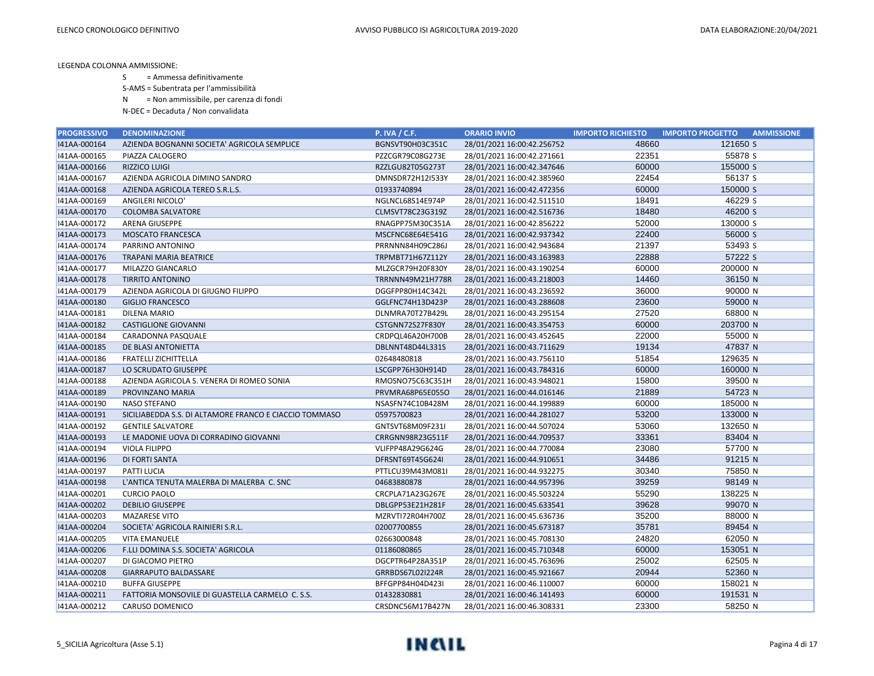S = Ammessa definitivamente

S-AMS = Subentrata per l'ammissibilità

N = Non ammissibile, per carenza di fondi

| <b>PROGRESSIVO</b> | <b>DENOMINAZIONE</b>                                   | <b>P. IVA / C.F.</b> | <b>ORARIO INVIO</b>        | <b>IMPORTO RICHIESTO</b> | <b>IMPORTO PROGETTO</b><br><b>AMMISSIONE</b> |
|--------------------|--------------------------------------------------------|----------------------|----------------------------|--------------------------|----------------------------------------------|
| I41AA-000164       | AZIENDA BOGNANNI SOCIETA' AGRICOLA SEMPLICE            | BGNSVT90H03C351C     | 28/01/2021 16:00:42.256752 | 48660                    | 121650 S                                     |
| I41AA-000165       | PIAZZA CALOGERO                                        | PZZCGR79C08G273E     | 28/01/2021 16:00:42.271661 | 22351                    | 55878 S                                      |
| I41AA-000166       | <b>RIZZICO LUIGI</b>                                   | RZZLGU82T05G273T     | 28/01/2021 16:00:42.347646 | 60000                    | 155000 S                                     |
| I41AA-000167       | AZIENDA AGRICOLA DIMINO SANDRO                         | DMNSDR72H12I533Y     | 28/01/2021 16:00:42.385960 | 22454                    | 56137 S                                      |
| I41AA-000168       | AZIENDA AGRICOLA TEREO S.R.L.S.                        | 01933740894          | 28/01/2021 16:00:42.472356 | 60000                    | 150000 S                                     |
| I41AA-000169       | ANGILERI NICOLO'                                       | NGLNCL68S14E974P     | 28/01/2021 16:00:42.511510 | 18491                    | 46229 S                                      |
| I41AA-000170       | <b>COLOMBA SALVATORE</b>                               | CLMSVT78C23G319Z     | 28/01/2021 16:00:42.516736 | 18480                    | 46200 S                                      |
| I41AA-000172       | ARENA GIUSEPPE                                         | RNAGPP75M30C351A     | 28/01/2021 16:00:42.856222 | 52000                    | 130000 S                                     |
| I41AA-000173       | <b>MOSCATO FRANCESCA</b>                               | MSCFNC68E64E541G     | 28/01/2021 16:00:42.937342 | 22400                    | 56000 S                                      |
| I41AA-000174       | PARRINO ANTONINO                                       | PRRNNN84H09C286J     | 28/01/2021 16:00:42.943684 | 21397                    | 53493 S                                      |
| I41AA-000176       | <b>TRAPANI MARIA BEATRICE</b>                          | TRPMBT71H67Z112Y     | 28/01/2021 16:00:43.163983 | 22888                    | 57222 S                                      |
| I41AA-000177       | MILAZZO GIANCARLO                                      | MLZGCR79H20F830Y     | 28/01/2021 16:00:43.190254 | 60000                    | 200000 N                                     |
| I41AA-000178       | <b>TIRRITO ANTONINO</b>                                | TRRNNN49M21H778R     | 28/01/2021 16:00:43.218003 | 14460                    | 36150 N                                      |
| I41AA-000179       | AZIENDA AGRICOLA DI GIUGNO FILIPPO                     | DGGFPP80H14C342L     | 28/01/2021 16:00:43.236592 | 36000                    | 90000 N                                      |
| 141AA-000180       | <b>GIGLIO FRANCESCO</b>                                | GGLFNC74H13D423P     | 28/01/2021 16:00:43.288608 | 23600                    | 59000 N                                      |
| I41AA-000181       | <b>DILENA MARIO</b>                                    | DLNMRA70T27B429L     | 28/01/2021 16:00:43.295154 | 27520                    | 68800 N                                      |
| I41AA-000182       | <b>CASTIGLIONE GIOVANNI</b>                            | CSTGNN72S27F830Y     | 28/01/2021 16:00:43.354753 | 60000                    | 203700 N                                     |
| I41AA-000184       | CARADONNA PASQUALE                                     | CRDPQL46A20H700B     | 28/01/2021 16:00:43.452645 | 22000                    | 55000 N                                      |
| I41AA-000185       | DE BLASI ANTONIETTA                                    | DBLNNT48D44L331S     | 28/01/2021 16:00:43.711629 | 19134                    | 47837 N                                      |
| 141AA-000186       | <b>FRATELLI ZICHITTELLA</b>                            | 02648480818          | 28/01/2021 16:00:43.756110 | 51854                    | 129635 N                                     |
| I41AA-000187       | LO SCRUDATO GIUSEPPE                                   | LSCGPP76H30H914D     | 28/01/2021 16:00:43.784316 | 60000                    | 160000 N                                     |
| I41AA-000188       | AZIENDA AGRICOLA S. VENERA DI ROMEO SONIA              | RMOSNO75C63C351H     | 28/01/2021 16:00:43.948021 | 15800                    | 39500 N                                      |
| I41AA-000189       | PROVINZANO MARIA                                       | PRVMRA68P65E055O     | 28/01/2021 16:00:44.016146 | 21889                    | 54723 N                                      |
| I41AA-000190       | NASO STEFANO                                           | NSASFN74C10B428M     | 28/01/2021 16:00:44.199889 | 60000                    | 185000 N                                     |
| I41AA-000191       | SICILIABEDDA S.S. DI ALTAMORE FRANCO E CIACCIO TOMMASO | 05975700823          | 28/01/2021 16:00:44.281027 | 53200                    | 133000 N                                     |
| I41AA-000192       | <b>GENTILE SALVATORE</b>                               | GNTSVT68M09F231I     | 28/01/2021 16:00:44.507024 | 53060                    | 132650 N                                     |
| I41AA-000193       | LE MADONIE UOVA DI CORRADINO GIOVANNI                  | CRRGNN98R23G511F     | 28/01/2021 16:00:44.709537 | 33361                    | 83404 N                                      |
| I41AA-000194       | <b>VIOLA FILIPPO</b>                                   | VLIFPP48A29G624G     | 28/01/2021 16:00:44.770084 | 23080                    | 57700 N                                      |
| I41AA-000196       | DI FORTI SANTA                                         | DFRSNT69T45G624I     | 28/01/2021 16:00:44.910651 | 34486                    | 91215 N                                      |
| I41AA-000197       | <b>PATTI LUCIA</b>                                     | PTTLCU39M43M081I     | 28/01/2021 16:00:44.932275 | 30340                    | 75850 N                                      |
| I41AA-000198       | L'ANTICA TENUTA MALERBA DI MALERBA C. SNC              | 04683880878          | 28/01/2021 16:00:44.957396 | 39259                    | 98149 N                                      |
| I41AA-000201       | <b>CURCIO PAOLO</b>                                    | CRCPLA71A23G267E     | 28/01/2021 16:00:45.503224 | 55290                    | 138225 N                                     |
| I41AA-000202       | <b>DEBILIO GIUSEPPE</b>                                | DBLGPP53E21H281F     | 28/01/2021 16:00:45.633541 | 39628                    | 99070 N                                      |
| I41AA-000203       | <b>MAZARESE VITO</b>                                   | MZRVTI72R04H700Z     | 28/01/2021 16:00:45.636736 | 35200                    | 88000 N                                      |
| 141AA-000204       | SOCIETA' AGRICOLA RAINIERI S.R.L.                      | 02007700855          | 28/01/2021 16:00:45.673187 | 35781                    | 89454 N                                      |
| I41AA-000205       | <b>VITA EMANUELE</b>                                   | 02663000848          | 28/01/2021 16:00:45.708130 | 24820                    | 62050 N                                      |
| I41AA-000206       | F.LLI DOMINA S.S. SOCIETA' AGRICOLA                    | 01186080865          | 28/01/2021 16:00:45.710348 | 60000                    | 153051 N                                     |
| I41AA-000207       | DI GIACOMO PIETRO                                      | DGCPTR64P28A351P     | 28/01/2021 16:00:45.763696 | 25002                    | 62505 N                                      |
| I41AA-000208       | <b>GIARRAPUTO BALDASSARE</b>                           | GRRBDS67L02I224R     | 28/01/2021 16:00:45.921667 | 20944                    | 52360 N                                      |
| I41AA-000210       | <b>BUFFA GIUSEPPE</b>                                  | BFFGPP84H04D423I     | 28/01/2021 16:00:46.110007 | 60000                    | 158021 N                                     |
| I41AA-000211       | FATTORIA MONSOVILE DI GUASTELLA CARMELO C. S.S.        | 01432830881          | 28/01/2021 16:00:46.141493 | 60000                    | 191531 N                                     |
| 141AA-000212       | CARUSO DOMENICO                                        | CRSDNC56M17B427N     | 28/01/2021 16:00:46.308331 | 23300                    | 58250 N                                      |

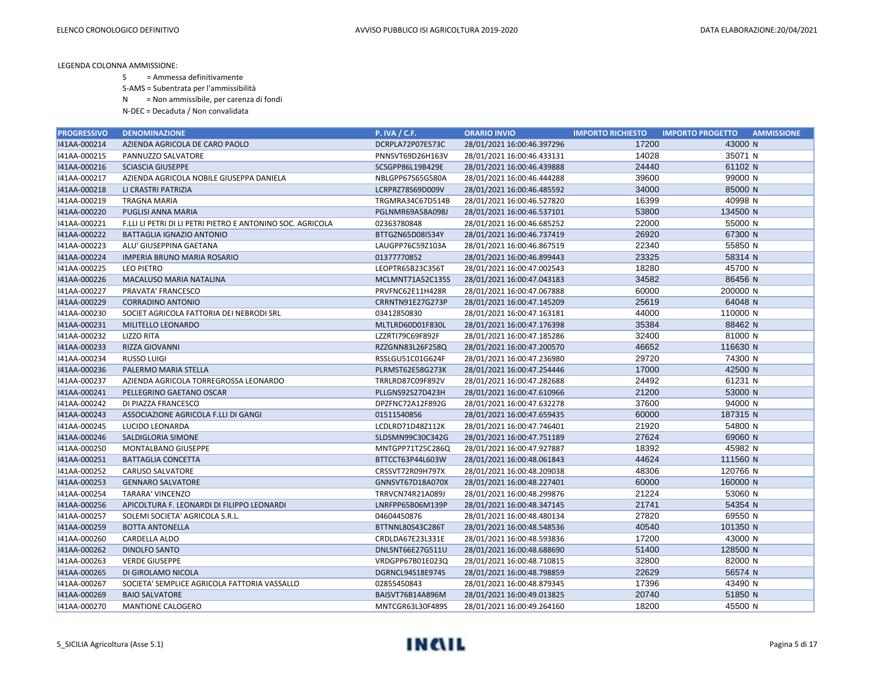S = Ammessa definitivamente

S-AMS = Subentrata per l'ammissibilità

N = Non ammissibile, per carenza di fondi

| <b>PROGRESSIVO</b> | <b>DENOMINAZIONE</b>                                       | <b>P. IVA / C.F.</b> | <b>ORARIO INVIO</b>        | <b>IMPORTO RICHIESTO</b> | <b>IMPORTO PROGETTO</b><br><b>AMMISSIONE</b> |
|--------------------|------------------------------------------------------------|----------------------|----------------------------|--------------------------|----------------------------------------------|
| I41AA-000214       | AZIENDA AGRICOLA DE CARO PAOLO                             | DCRPLA72P07E573C     | 28/01/2021 16:00:46.397296 | 17200                    | 43000 N                                      |
| I41AA-000215       | PANNUZZO SALVATORE                                         | PNNSVT69D26H163V     | 28/01/2021 16:00:46.433131 | 14028                    | 35071 N                                      |
| I41AA-000216       | <b>SCIASCIA GIUSEPPE</b>                                   | SCSGPP86L19B429E     | 28/01/2021 16:00:46.439888 | 24440                    | 61102 N                                      |
| I41AA-000217       | AZIENDA AGRICOLA NOBILE GIUSEPPA DANIELA                   | NBLGPP67S65G580A     | 28/01/2021 16:00:46.444288 | 39600                    | 99000 N                                      |
| 141AA-000218       | LI CRASTRI PATRIZIA                                        | LCRPRZ78S69D009V     | 28/01/2021 16:00:46.485592 | 34000                    | 85000 N                                      |
| I41AA-000219       | TRAGNA MARIA                                               | TRGMRA34C67D514B     | 28/01/2021 16:00:46.527820 | 16399                    | 40998 N                                      |
| 141AA-000220       | PUGLISI ANNA MARIA                                         | PGLNMR69A58A098J     | 28/01/2021 16:00:46.537101 | 53800                    | 134500 N                                     |
| I41AA-000221       | F.LLI LI PETRI DI LI PETRI PIETRO E ANTONINO SOC. AGRICOLA | 02363780848          | 28/01/2021 16:00:46.685252 | 22000                    | 55000 N                                      |
| 141AA-000222       | BATTAGLIA IGNAZIO ANTONIO                                  | BTTGZN65D08I534Y     | 28/01/2021 16:00:46.737419 | 26920                    | 67300 N                                      |
| I41AA-000223       | ALU' GIUSEPPINA GAETANA                                    | LAUGPP76C59Z103A     | 28/01/2021 16:00:46.867519 | 22340                    | 55850 N                                      |
| I41AA-000224       | <b>IMPERIA BRUNO MARIA ROSARIO</b>                         | 01377770852          | 28/01/2021 16:00:46.899443 | 23325                    | 58314 N                                      |
| I41AA-000225       | <b>LEO PIETRO</b>                                          | LEOPTR65B23C356T     | 28/01/2021 16:00:47.002543 | 18280                    | 45700 N                                      |
| 141AA-000226       | MACALUSO MARIA NATALINA                                    | MCLMNT71A52C135S     | 28/01/2021 16:00:47.043183 | 34582                    | 86456 N                                      |
| I41AA-000227       | PRAVATA' FRANCESCO                                         | PRVFNC62E11H428R     | 28/01/2021 16:00:47.067888 | 60000                    | 200000 N                                     |
| I41AA-000229       | <b>CORRADINO ANTONIO</b>                                   | CRRNTN91E27G273P     | 28/01/2021 16:00:47.145209 | 25619                    | 64048 N                                      |
| I41AA-000230       | SOCIET AGRICOLA FATTORIA DEI NEBRODI SRL                   | 03412850830          | 28/01/2021 16:00:47.163181 | 44000                    | 110000 N                                     |
| I41AA-000231       | MILITELLO LEONARDO                                         | MLTLRD60D01F830L     | 28/01/2021 16:00:47.176398 | 35384                    | 88462 N                                      |
| I41AA-000232       | LIZZO RITA                                                 | LZZRTI79C69F892F     | 28/01/2021 16:00:47.185286 | 32400                    | 81000 N                                      |
| I41AA-000233       | RIZZA GIOVANNI                                             | RZZGNN83L26F258Q     | 28/01/2021 16:00:47.200570 | 46652                    | 116630 N                                     |
| I41AA-000234       | <b>RUSSO LUIGI</b>                                         | RSSLGU51C01G624F     | 28/01/2021 16:00:47.236980 | 29720                    | 74300 N                                      |
| 141AA-000236       | PALERMO MARIA STELLA                                       | PLRMST62E58G273K     | 28/01/2021 16:00:47.254446 | 17000                    | 42500 N                                      |
| I41AA-000237       | AZIENDA AGRICOLA TORREGROSSA LEONARDO                      | TRRLRD87C09F892V     | 28/01/2021 16:00:47.282688 | 24492                    | 61231 N                                      |
| I41AA-000241       | PELLEGRINO GAETANO OSCAR                                   | PLLGNS92S27D423H     | 28/01/2021 16:00:47.610966 | 21200                    | 53000 N                                      |
| I41AA-000242       | DI PIAZZA FRANCESCO                                        | DPZFNC72A12F892G     | 28/01/2021 16:00:47.632278 | 37600                    | 94000 N                                      |
| 141AA-000243       | ASSOCIAZIONE AGRICOLA F.LLI DI GANGI                       | 01511540856          | 28/01/2021 16:00:47.659435 | 60000                    | 187315 N                                     |
| I41AA-000245       | LUCIDO LEONARDA                                            | LCDLRD71D48Z112K     | 28/01/2021 16:00:47.746401 | 21920                    | 54800 N                                      |
| I41AA-000246       | SALDIGLORIA SIMONE                                         | SLDSMN99C30C342G     | 28/01/2021 16:00:47.751189 | 27624                    | 69060 N                                      |
| 141AA-000250       | MONTALBANO GIUSEPPE                                        | MNTGPP71T25C286Q     | 28/01/2021 16:00:47.927887 | 18392                    | 45982 N                                      |
| I41AA-000251       | <b>BATTAGLIA CONCETTA</b>                                  | BTTCCT63P44L603W     | 28/01/2021 16:00:48.061843 | 44624                    | 111560 N                                     |
| I41AA-000252       | <b>CARUSO SALVATORE</b>                                    | CRSSVT72R09H797X     | 28/01/2021 16:00:48.209038 | 48306                    | 120766 N                                     |
| I41AA-000253       | <b>GENNARO SALVATORE</b>                                   | GNNSVT67D18A070X     | 28/01/2021 16:00:48.227401 | 60000                    | 160000 N                                     |
| I41AA-000254       | TARARA' VINCENZO                                           | TRRVCN74R21A089J     | 28/01/2021 16:00:48.299876 | 21224                    | 53060 N                                      |
| I41AA-000256       | APICOLTURA F. LEONARDI DI FILIPPO LEONARDI                 | LNRFPP65B06M139P     | 28/01/2021 16:00:48.347145 | 21741                    | 54354 N                                      |
| I41AA-000257       | SOLEMI SOCIETA' AGRICOLA S.R.L.                            | 04604450876          | 28/01/2021 16:00:48.480134 | 27820                    | 69550 N                                      |
| I41AA-000259       | <b>BOTTA ANTONELLA</b>                                     | BTTNNL80S43C286T     | 28/01/2021 16:00:48.548536 | 40540                    | 101350 N                                     |
| I41AA-000260       | CARDELLA ALDO                                              | CRDLDA67E23L331E     | 28/01/2021 16:00:48.593836 | 17200                    | 43000 N                                      |
| 141AA-000262       | <b>DINOLFO SANTO</b>                                       | DNLSNT66E27G511U     | 28/01/2021 16:00:48.688690 | 51400                    | 128500 N                                     |
| I41AA-000263       | <b>VERDE GIUSEPPE</b>                                      | VRDGPP67B01E023Q     | 28/01/2021 16:00:48.710815 | 32800                    | 82000 N                                      |
| 141AA-000265       | DI GIROLAMO NICOLA                                         | DGRNCL94S18E974S     | 28/01/2021 16:00:48.798859 | 22629                    | 56574 N                                      |
| I41AA-000267       | SOCIETA' SEMPLICE AGRICOLA FATTORIA VASSALLO               | 02855450843          | 28/01/2021 16:00:48.879345 | 17396                    | 43490 N                                      |
| 141AA-000269       | <b>BAIO SALVATORE</b>                                      | BAISVT76B14A896M     | 28/01/2021 16:00:49.013825 | 20740                    | 51850 N                                      |
| 141AA-000270       | <b>MANTIONE CALOGERO</b>                                   | MNTCGR63L30F489S     | 28/01/2021 16:00:49.264160 | 18200                    | 45500 N                                      |

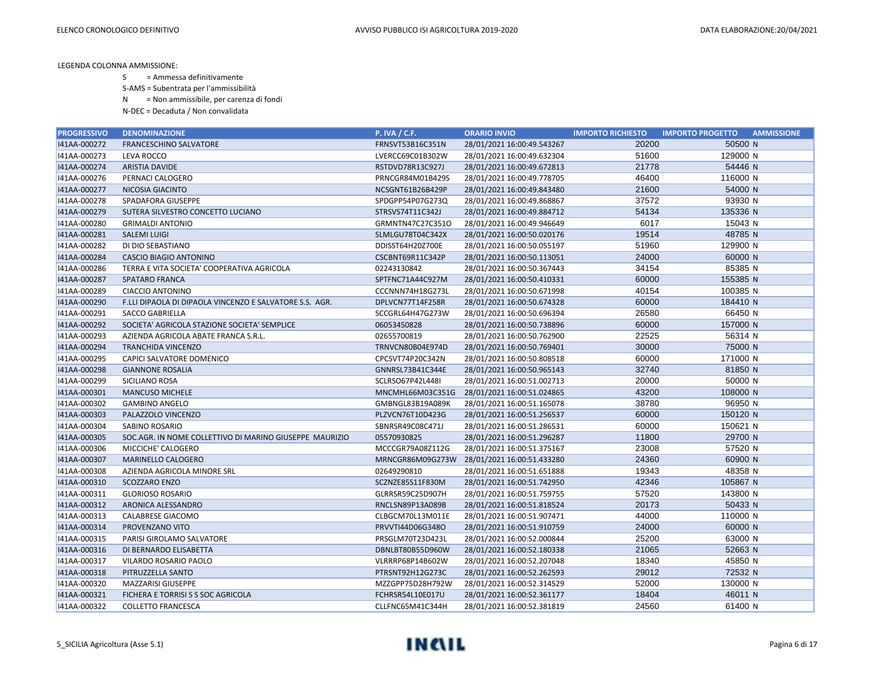S = Ammessa definitivamente

S-AMS = Subentrata per l'ammissibilità

N = Non ammissibile, per carenza di fondi

| <b>PROGRESSIVO</b> | <b>DENOMINAZIONE</b>                                    | <b>P. IVA / C.F.</b> | <b>ORARIO INVIO</b>        | <b>IMPORTO RICHIESTO</b> | <b>IMPORTO PROGETTO</b><br><b>AMMISSIONE</b> |
|--------------------|---------------------------------------------------------|----------------------|----------------------------|--------------------------|----------------------------------------------|
| 141AA-000272       | <b>FRANCESCHINO SALVATORE</b>                           | FRNSVT53B16C351N     | 28/01/2021 16:00:49.543267 | 20200                    | 50500 N                                      |
| I41AA-000273       | LEVA ROCCO                                              | LVERCC69C01B302W     | 28/01/2021 16:00:49.632304 | 51600                    | 129000 N                                     |
| I41AA-000274       | <b>ARISTIA DAVIDE</b>                                   | RSTDVD78R13C927J     | 28/01/2021 16:00:49.672813 | 21778                    | 54446 N                                      |
| I41AA-000276       | PERNACI CALOGERO                                        | PRNCGR84M01B429S     | 28/01/2021 16:00:49.778705 | 46400                    | 116000 N                                     |
| I41AA-000277       | NICOSIA GIACINTO                                        | NCSGNT61B26B429P     | 28/01/2021 16:00:49.843480 | 21600                    | 54000 N                                      |
| I41AA-000278       | SPADAFORA GIUSEPPE                                      | SPDGPP54P07G273Q     | 28/01/2021 16:00:49.868867 | 37572                    | 93930 N                                      |
| I41AA-000279       | SUTERA SILVESTRO CONCETTO LUCIANO                       | STRSVS74T11C342J     | 28/01/2021 16:00:49.884712 | 54134                    | 135336 N                                     |
| I41AA-000280       | <b>GRIMALDI ANTONIO</b>                                 | GRMNTN47C27C351O     | 28/01/2021 16:00:49.946649 | 6017                     | 15043 N                                      |
| 141AA-000281       | <b>SALEMI LUIGI</b>                                     | SLMLGU78T04C342X     | 28/01/2021 16:00:50.020176 | 19514                    | 48785N                                       |
| I41AA-000282       | DI DIO SEBASTIANO                                       | DDISST64H20Z700E     | 28/01/2021 16:00:50.055197 | 51960                    | 129900 N                                     |
| I41AA-000284       | CASCIO BIAGIO ANTONINO                                  | CSCBNT69R11C342P     | 28/01/2021 16:00:50.113051 | 24000                    | 60000 N                                      |
| I41AA-000286       | TERRA E VITA SOCIETA' COOPERATIVA AGRICOLA              | 02243130842          | 28/01/2021 16:00:50.367443 | 34154                    | 85385 N                                      |
| 141AA-000287       | <b>SPATARO FRANCA</b>                                   | SPTFNC71A44C927M     | 28/01/2021 16:00:50.410331 | 60000                    | 155385 N                                     |
| I41AA-000289       | <b>CIACCIO ANTONINO</b>                                 | CCCNNN74H18G273L     | 28/01/2021 16:00:50.671998 | 40154                    | 100385 N                                     |
| I41AA-000290       | F.LLI DIPAOLA DI DIPAOLA VINCENZO E SALVATORE S.S. AGR. | DPLVCN77T14F258R     | 28/01/2021 16:00:50.674328 | 60000                    | 184410 N                                     |
| I41AA-000291       | <b>SACCO GABRIELLA</b>                                  | SCCGRL64H47G273W     | 28/01/2021 16:00:50.696394 | 26580                    | 66450 N                                      |
| 141AA-000292       | SOCIETA' AGRICOLA STAZIONE SOCIETA' SEMPLICE            | 06053450828          | 28/01/2021 16:00:50.738896 | 60000                    | 157000 N                                     |
| I41AA-000293       | AZIENDA AGRICOLA ABATE FRANCA S.R.L.                    | 02655700819          | 28/01/2021 16:00:50.762900 | 22525                    | 56314 N                                      |
| I41AA-000294       | <b>TRANCHIDA VINCENZO</b>                               | TRNVCN80B04E974D     | 28/01/2021 16:00:50.769401 | 30000                    | 75000 N                                      |
| I41AA-000295       | CAPICI SALVATORE DOMENICO                               | CPCSVT74P20C342N     | 28/01/2021 16:00:50.808518 | 60000                    | 171000 N                                     |
| 141AA-000298       | <b>GIANNONE ROSALIA</b>                                 | GNNRSL73B41C344E     | 28/01/2021 16:00:50.965143 | 32740                    | 81850 N                                      |
| I41AA-000299       | SICILIANO ROSA                                          | SCLRSO67P42L448I     | 28/01/2021 16:00:51.002713 | 20000                    | 50000 N                                      |
| I41AA-000301       | <b>MANCUSO MICHELE</b>                                  | MNCMHL66M03C351G     | 28/01/2021 16:00:51.024865 | 43200                    | 108000 N                                     |
| I41AA-000302       | <b>GAMBINO ANGELO</b>                                   | GMBNGL83B19A089K     | 28/01/2021 16:00:51.165078 | 38780                    | 96950 N                                      |
| 141AA-000303       | PALAZZOLO VINCENZO                                      | PLZVCN76T10D423G     | 28/01/2021 16:00:51.256537 | 60000                    | 150120 N                                     |
| I41AA-000304       | SABINO ROSARIO                                          | SBNRSR49C08C471J     | 28/01/2021 16:00:51.286531 | 60000                    | 150621 N                                     |
| I41AA-000305       | SOC.AGR. IN NOME COLLETTIVO DI MARINO GIUSEPPE MAURIZIO | 05570930825          | 28/01/2021 16:00:51.296287 | 11800                    | 29700 N                                      |
| I41AA-000306       | MICCICHE' CALOGERO                                      | MCCCGR79A08Z112G     | 28/01/2021 16:00:51.375167 | 23008                    | 57520 N                                      |
| I41AA-000307       | MARINELLO CALOGERO                                      | MRNCGR86M09G273W     | 28/01/2021 16:00:51.433280 | 24360                    | 60900 N                                      |
| I41AA-000308       | AZIENDA AGRICOLA MINORE SRL                             | 02649290810          | 28/01/2021 16:00:51.651888 | 19343                    | 48358 N                                      |
| I41AA-000310       | SCOZZARO ENZO                                           | SCZNZE85S11F830M     | 28/01/2021 16:00:51.742950 | 42346                    | 105867 N                                     |
| I41AA-000311       | <b>GLORIOSO ROSARIO</b>                                 | GLRRSR59C25D907H     | 28/01/2021 16:00:51.759755 | 57520                    | 143800 N                                     |
| I41AA-000312       | ARONICA ALESSANDRO                                      | RNCLSN89P13A089B     | 28/01/2021 16:00:51.818524 | 20173                    | 50433 N                                      |
| I41AA-000313       | CALABRESE GIACOMO                                       | CLBGCM70L13M011E     | 28/01/2021 16:00:51.907471 | 44000                    | 110000 N                                     |
| I41AA-000314       | PROVENZANO VITO                                         | PRVVTI44D06G348O     | 28/01/2021 16:00:51.910759 | 24000                    | 60000 N                                      |
| I41AA-000315       | PARISI GIROLAMO SALVATORE                               | PRSGLM70T23D423L     | 28/01/2021 16:00:52.000844 | 25200                    | 63000 N                                      |
| 141AA-000316       | DI BERNARDO ELISABETTA                                  | DBNLBT80B55D960W     | 28/01/2021 16:00:52.180338 | 21065                    | 52663 N                                      |
| I41AA-000317       | VILARDO ROSARIO PAOLO                                   | VLRRRP68P14B602W     | 28/01/2021 16:00:52.207048 | 18340                    | 45850 N                                      |
| I41AA-000318       | PITRUZZELLA SANTO                                       | PTRSNT92H12G273C     | 28/01/2021 16:00:52.262593 | 29012                    | 72532 N                                      |
| I41AA-000320       | <b>MAZZARISI GIUSEPPE</b>                               | MZZGPP75D28H792W     | 28/01/2021 16:00:52.314529 | 52000                    | 130000 N                                     |
| 141AA-000321       | FICHERA E TORRISI S S SOC AGRICOLA                      | FCHRSR54L10E017U     | 28/01/2021 16:00:52.361177 | 18404                    | 46011 N                                      |
| 141AA-000322       | <b>COLLETTO FRANCESCA</b>                               | CLLFNC65M41C344H     | 28/01/2021 16:00:52.381819 | 24560                    | 61400 N                                      |

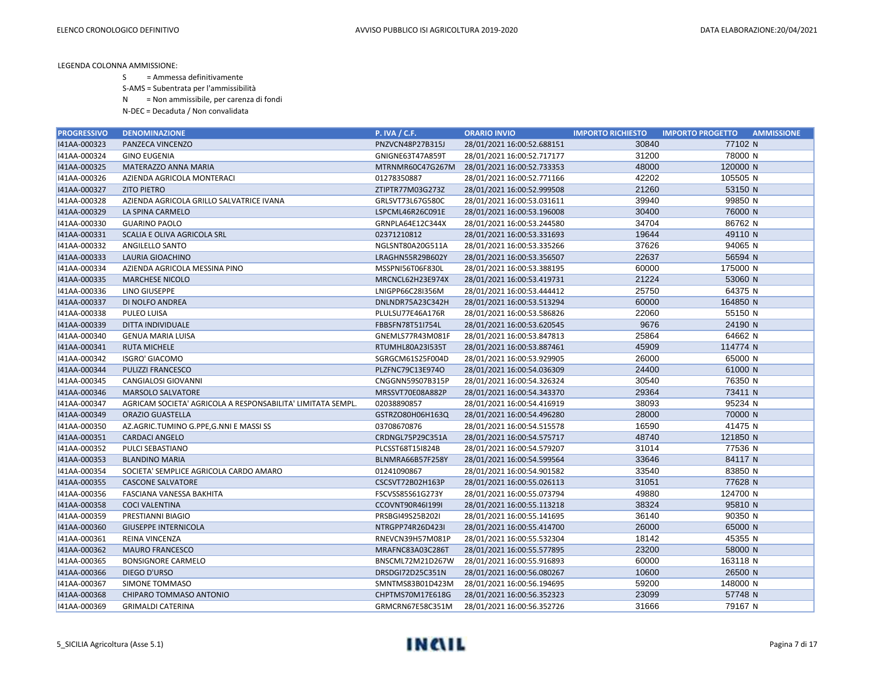S = Ammessa definitivamente

S-AMS = Subentrata per l'ammissibilità

N = Non ammissibile, per carenza di fondi

| <b>PROGRESSIVO</b> | <b>DENOMINAZIONE</b>                                        | <b>P. IVA / C.F.</b> | <b>ORARIO INVIO</b>        | <b>IMPORTO RICHIESTO</b> | <b>IMPORTO PROGETTO</b><br><b>AMMISSIONE</b> |
|--------------------|-------------------------------------------------------------|----------------------|----------------------------|--------------------------|----------------------------------------------|
| I41AA-000323       | PANZECA VINCENZO                                            | PNZVCN48P27B315J     | 28/01/2021 16:00:52.688151 | 30840                    | 77102 N                                      |
| I41AA-000324       | <b>GINO EUGENIA</b>                                         | GNIGNE63T47A859T     | 28/01/2021 16:00:52.717177 | 31200                    | 78000 N                                      |
| I41AA-000325       | MATERAZZO ANNA MARIA                                        | MTRNMR60C47G267M     | 28/01/2021 16:00:52.733353 | 48000                    | 120000 N                                     |
| I41AA-000326       | AZIENDA AGRICOLA MONTERACI                                  | 01278350887          | 28/01/2021 16:00:52.771166 | 42202                    | 105505 N                                     |
| I41AA-000327       | <b>ZITO PIETRO</b>                                          | ZTIPTR77M03G273Z     | 28/01/2021 16:00:52.999508 | 21260                    | 53150 N                                      |
| I41AA-000328       | AZIENDA AGRICOLA GRILLO SALVATRICE IVANA                    | GRLSVT73L67G580C     | 28/01/2021 16:00:53.031611 | 39940                    | 99850 N                                      |
| I41AA-000329       | LA SPINA CARMELO                                            | LSPCML46R26C091E     | 28/01/2021 16:00:53.196008 | 30400                    | 76000 N                                      |
| I41AA-000330       | <b>GUARINO PAOLO</b>                                        | GRNPLA64E12C344X     | 28/01/2021 16:00:53.244580 | 34704                    | 86762 N                                      |
| 141AA-000331       | SCALIA E OLIVA AGRICOLA SRL                                 | 02371210812          | 28/01/2021 16:00:53.331693 | 19644                    | 49110 N                                      |
| I41AA-000332       | ANGILELLO SANTO                                             | NGLSNT80A20G511A     | 28/01/2021 16:00:53.335266 | 37626                    | 94065 N                                      |
| I41AA-000333       | LAURIA GIOACHINO                                            | LRAGHN55R29B602Y     | 28/01/2021 16:00:53.356507 | 22637                    | 56594 N                                      |
| I41AA-000334       | AZIENDA AGRICOLA MESSINA PINO                               | MSSPNI56T06F830L     | 28/01/2021 16:00:53.388195 | 60000                    | 175000 N                                     |
| I41AA-000335       | <b>MARCHESE NICOLO</b>                                      | MRCNCL62H23E974X     | 28/01/2021 16:00:53.419731 | 21224                    | 53060 N                                      |
| I41AA-000336       | LINO GIUSEPPE                                               | LNIGPP66C28I356M     | 28/01/2021 16:00:53.444412 | 25750                    | 64375 N                                      |
| 141AA-000337       | DI NOLFO ANDREA                                             | DNLNDR75A23C342H     | 28/01/2021 16:00:53.513294 | 60000                    | 164850 N                                     |
| I41AA-000338       | PULEO LUISA                                                 | PLULSU77E46A176R     | 28/01/2021 16:00:53.586826 | 22060                    | 55150 N                                      |
| I41AA-000339       | DITTA INDIVIDUALE                                           | FBBSFN78T51I754L     | 28/01/2021 16:00:53.620545 | 9676                     | 24190 N                                      |
| I41AA-000340       | <b>GENUA MARIA LUISA</b>                                    | GNEMLS77R43M081F     | 28/01/2021 16:00:53.847813 | 25864                    | 64662 N                                      |
| I41AA-000341       | <b>RUTA MICHELE</b>                                         | RTUMHL80A23I535T     | 28/01/2021 16:00:53.887461 | 45909                    | 114774 N                                     |
| I41AA-000342       | <b>ISGRO' GIACOMO</b>                                       | SGRGCM61S25F004D     | 28/01/2021 16:00:53.929905 | 26000                    | 65000 N                                      |
| I41AA-000344       | PULIZZI FRANCESCO                                           | PLZFNC79C13E974O     | 28/01/2021 16:00:54.036309 | 24400                    | 61000 N                                      |
| I41AA-000345       | CANGIALOSI GIOVANNI                                         | CNGGNN59S07B315P     | 28/01/2021 16:00:54.326324 | 30540                    | 76350 N                                      |
| 141AA-000346       | <b>MARSOLO SALVATORE</b>                                    | MRSSVT70E08A882P     | 28/01/2021 16:00:54.343370 | 29364                    | 73411 N                                      |
| I41AA-000347       | AGRICAM SOCIETA' AGRICOLA A RESPONSABILITA' LIMITATA SEMPL. | 02038890857          | 28/01/2021 16:00:54.416919 | 38093                    | 95234 N                                      |
| I41AA-000349       | <b>ORAZIO GUASTELLA</b>                                     | GSTRZO80H06H163Q     | 28/01/2021 16:00:54.496280 | 28000                    | 70000 N                                      |
| I41AA-000350       | AZ.AGRIC.TUMINO G.PPE, G.NNI E MASSI SS                     | 03708670876          | 28/01/2021 16:00:54.515578 | 16590                    | 41475 N                                      |
| I41AA-000351       | <b>CARDACI ANGELO</b>                                       | CRDNGL75P29C351A     | 28/01/2021 16:00:54.575717 | 48740                    | 121850 N                                     |
| I41AA-000352       | PULCI SEBASTIANO                                            | PLCSST68T15I824B     | 28/01/2021 16:00:54.579207 | 31014                    | 77536 N                                      |
| I41AA-000353       | <b>BLANDINO MARIA</b>                                       | BLNMRA66B57F258Y     | 28/01/2021 16:00:54.599564 | 33646                    | 84117 N                                      |
| I41AA-000354       | SOCIETA' SEMPLICE AGRICOLA CARDO AMARO                      | 01241090867          | 28/01/2021 16:00:54.901582 | 33540                    | 83850 N                                      |
| I41AA-000355       | <b>CASCONE SALVATORE</b>                                    | CSCSVT72B02H163P     | 28/01/2021 16:00:55.026113 | 31051                    | 77628 N                                      |
| I41AA-000356       | FASCIANA VANESSA BAKHITA                                    | FSCVSS85S61G273Y     | 28/01/2021 16:00:55.073794 | 49880                    | 124700 N                                     |
| I41AA-000358       | <b>COCI VALENTINA</b>                                       | CCOVNT90R46I199I     | 28/01/2021 16:00:55.113218 | 38324                    | 95810 N                                      |
| I41AA-000359       | PRESTIANNI BIAGIO                                           | PRSBGI49S25B202I     | 28/01/2021 16:00:55.141695 | 36140                    | 90350 N                                      |
| I41AA-000360       | <b>GIUSEPPE INTERNICOLA</b>                                 | NTRGPP74R26D423I     | 28/01/2021 16:00:55.414700 | 26000                    | 65000 N                                      |
| I41AA-000361       | REINA VINCENZA                                              | RNEVCN39H57M081P     | 28/01/2021 16:00:55.532304 | 18142                    | 45355 N                                      |
| I41AA-000362       | <b>MAURO FRANCESCO</b>                                      | MRAFNC83A03C286T     | 28/01/2021 16:00:55.577895 | 23200                    | 58000 N                                      |
| I41AA-000365       | <b>BONSIGNORE CARMELO</b>                                   | BNSCML72M21D267W     | 28/01/2021 16:00:55.916893 | 60000                    | 163118 N                                     |
| 141AA-000366       | DIEGO D'URSO                                                | DRSDGI72D25C351N     | 28/01/2021 16:00:56.080267 | 10600                    | 26500 N                                      |
| I41AA-000367       | <b>SIMONE TOMMASO</b>                                       | SMNTMS83B01D423M     | 28/01/2021 16:00:56.194695 | 59200                    | 148000 N                                     |
| 141AA-000368       | CHIPARO TOMMASO ANTONIO                                     | CHPTMS70M17E618G     | 28/01/2021 16:00:56.352323 | 23099                    | 57748 N                                      |
| I41AA-000369       | <b>GRIMALDI CATERINA</b>                                    | GRMCRN67E58C351M     | 28/01/2021 16:00:56.352726 | 31666                    | 79167 N                                      |

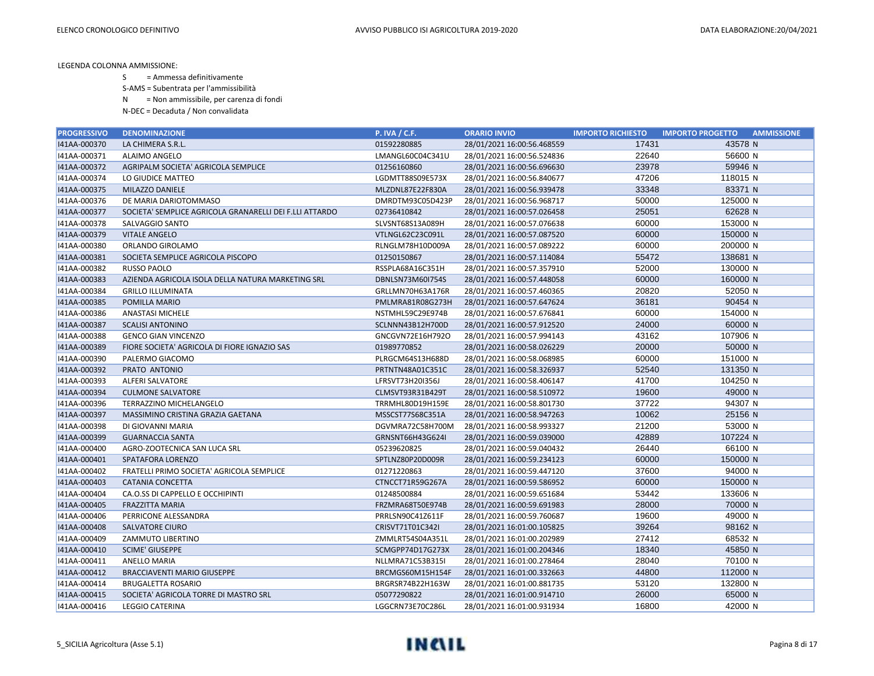S = Ammessa definitivamente

S-AMS = Subentrata per l'ammissibilità

N = Non ammissibile, per carenza di fondi

| <b>PROGRESSIVO</b> | <b>DENOMINAZIONE</b>                                    | <b>P. IVA / C.F.</b> | <b>ORARIO INVIO</b>        | <b>IMPORTO RICHIESTO</b> | <b>IMPORTO PROGETTO</b><br><b>AMMISSIONE</b> |
|--------------------|---------------------------------------------------------|----------------------|----------------------------|--------------------------|----------------------------------------------|
| I41AA-000370       | LA CHIMERA S.R.L.                                       | 01592280885          | 28/01/2021 16:00:56.468559 | 17431                    | 43578 N                                      |
| I41AA-000371       | ALAIMO ANGELO                                           | LMANGL60C04C341U     | 28/01/2021 16:00:56.524836 | 22640                    | 56600 N                                      |
| I41AA-000372       | AGRIPALM SOCIETA' AGRICOLA SEMPLICE                     | 01256160860          | 28/01/2021 16:00:56.696630 | 23978                    | 59946 N                                      |
| I41AA-000374       | LO GIUDICE MATTEO                                       | LGDMTT88S09E573X     | 28/01/2021 16:00:56.840677 | 47206                    | 118015 N                                     |
| I41AA-000375       | MILAZZO DANIELE                                         | MLZDNL87E22F830A     | 28/01/2021 16:00:56.939478 | 33348                    | 83371 N                                      |
| I41AA-000376       | DE MARIA DARIOTOMMASO                                   | DMRDTM93C05D423P     | 28/01/2021 16:00:56.968717 | 50000                    | 125000 N                                     |
| I41AA-000377       | SOCIETA' SEMPLICE AGRICOLA GRANARELLI DEI F.LLI ATTARDO | 02736410842          | 28/01/2021 16:00:57.026458 | 25051                    | 62628 N                                      |
| I41AA-000378       | SALVAGGIO SANTO                                         | SLVSNT68S13A089H     | 28/01/2021 16:00:57.076638 | 60000                    | 153000 N                                     |
| I41AA-000379       | <b>VITALE ANGELO</b>                                    | VTLNGL62C23C091L     | 28/01/2021 16:00:57.087520 | 60000                    | 150000 N                                     |
| I41AA-000380       | ORLANDO GIROLAMO                                        | RLNGLM78H10D009A     | 28/01/2021 16:00:57.089222 | 60000                    | 200000 N                                     |
| I41AA-000381       | SOCIETA SEMPLICE AGRICOLA PISCOPO                       | 01250150867          | 28/01/2021 16:00:57.114084 | 55472                    | 138681 N                                     |
| I41AA-000382       | <b>RUSSO PAOLO</b>                                      | RSSPLA68A16C351H     | 28/01/2021 16:00:57.357910 | 52000                    | 130000 N                                     |
| I41AA-000383       | AZIENDA AGRICOLA ISOLA DELLA NATURA MARKETING SRL       | DBNLSN73M60I754S     | 28/01/2021 16:00:57.448058 | 60000                    | 160000 N                                     |
| I41AA-000384       | <b>GRILLO ILLUMINATA</b>                                | GRLLMN70H63A176R     | 28/01/2021 16:00:57.460365 | 20820                    | 52050 N                                      |
| 141AA-000385       | POMILLA MARIO                                           | PMLMRA81R08G273H     | 28/01/2021 16:00:57.647624 | 36181                    | 90454 N                                      |
| I41AA-000386       | <b>ANASTASI MICHELE</b>                                 | NSTMHL59C29E974B     | 28/01/2021 16:00:57.676841 | 60000                    | 154000 N                                     |
| I41AA-000387       | <b>SCALISI ANTONINO</b>                                 | SCLNNN43B12H700D     | 28/01/2021 16:00:57.912520 | 24000                    | 60000 N                                      |
| I41AA-000388       | <b>GENCO GIAN VINCENZO</b>                              | GNCGVN72E16H792O     | 28/01/2021 16:00:57.994143 | 43162                    | 107906 N                                     |
| I41AA-000389       | FIORE SOCIETA' AGRICOLA DI FIORE IGNAZIO SAS            | 01989770852          | 28/01/2021 16:00:58.026229 | 20000                    | 50000 N                                      |
| I41AA-000390       | PALERMO GIACOMO                                         | PLRGCM64S13H688D     | 28/01/2021 16:00:58.068985 | 60000                    | 151000 N                                     |
| 141AA-000392       | PRATO ANTONIO                                           | PRTNTN48A01C351C     | 28/01/2021 16:00:58.326937 | 52540                    | 131350 N                                     |
| I41AA-000393       | ALFERI SALVATORE                                        | LFRSVT73H20I356J     | 28/01/2021 16:00:58.406147 | 41700                    | 104250 N                                     |
| 141AA-000394       | <b>CULMONE SALVATORE</b>                                | CLMSVT93R31B429T     | 28/01/2021 16:00:58.510972 | 19600                    | 49000 N                                      |
| I41AA-000396       | TERRAZZINO MICHELANGELO                                 | TRRMHL80D19H159E     | 28/01/2021 16:00:58.801730 | 37722                    | 94307 N                                      |
| I41AA-000397       | MASSIMINO CRISTINA GRAZIA GAETANA                       | MSSCST77S68C351A     | 28/01/2021 16:00:58.947263 | 10062                    | 25156 N                                      |
| I41AA-000398       | DI GIOVANNI MARIA                                       | DGVMRA72C58H700M     | 28/01/2021 16:00:58.993327 | 21200                    | 53000 N                                      |
| I41AA-000399       | <b>GUARNACCIA SANTA</b>                                 | GRNSNT66H43G624I     | 28/01/2021 16:00:59.039000 | 42889                    | 107224 N                                     |
| I41AA-000400       | AGRO-ZOOTECNICA SAN LUCA SRL                            | 05239620825          | 28/01/2021 16:00:59.040432 | 26440                    | 66100 N                                      |
| I41AA-000401       | SPATAFORA LORENZO                                       | SPTLNZ80P20D009R     | 28/01/2021 16:00:59.234123 | 60000                    | 150000 N                                     |
| I41AA-000402       | FRATELLI PRIMO SOCIETA' AGRICOLA SEMPLICE               | 01271220863          | 28/01/2021 16:00:59.447120 | 37600                    | 94000 N                                      |
| I41AA-000403       | <b>CATANIA CONCETTA</b>                                 | CTNCCT71R59G267A     | 28/01/2021 16:00:59.586952 | 60000                    | 150000 N                                     |
| I41AA-000404       | CA.O.SS DI CAPPELLO E OCCHIPINTI                        | 01248500884          | 28/01/2021 16:00:59.651684 | 53442                    | 133606 N                                     |
| I41AA-000405       | <b>FRAZZITTA MARIA</b>                                  | FRZMRA68T50E974B     | 28/01/2021 16:00:59.691983 | 28000                    | 70000 N                                      |
| I41AA-000406       | PERRICONE ALESSANDRA                                    | PRRLSN90C41Z611F     | 28/01/2021 16:00:59.760687 | 19600                    | 49000 N                                      |
| I41AA-000408       | <b>SALVATORE CIURO</b>                                  | CRISVT71T01C342I     | 28/01/2021 16:01:00.105825 | 39264                    | 98162 N                                      |
| I41AA-000409       | ZAMMUTO LIBERTINO                                       | ZMMLRT54S04A351L     | 28/01/2021 16:01:00.202989 | 27412                    | 68532 N                                      |
| I41AA-000410       | <b>SCIME' GIUSEPPE</b>                                  | SCMGPP74D17G273X     | 28/01/2021 16:01:00.204346 | 18340                    | 45850 N                                      |
| I41AA-000411       | ANELLO MARIA                                            | NLLMRA71C53B315I     | 28/01/2021 16:01:00.278464 | 28040                    | 70100 N                                      |
| I41AA-000412       | <b>BRACCIAVENTI MARIO GIUSEPPE</b>                      | BRCMGS60M15H154F     | 28/01/2021 16:01:00.332663 | 44800                    | 112000 N                                     |
| I41AA-000414       | <b>BRUGALETTA ROSARIO</b>                               | BRGRSR74B22H163W     | 28/01/2021 16:01:00.881735 | 53120                    | 132800 N                                     |
| I41AA-000415       | SOCIETA' AGRICOLA TORRE DI MASTRO SRL                   | 05077290822          | 28/01/2021 16:01:00.914710 | 26000                    | 65000 N                                      |
| 141AA-000416       | <b>LEGGIO CATERINA</b>                                  | LGGCRN73E70C286L     | 28/01/2021 16:01:00.931934 | 16800                    | 42000 N                                      |

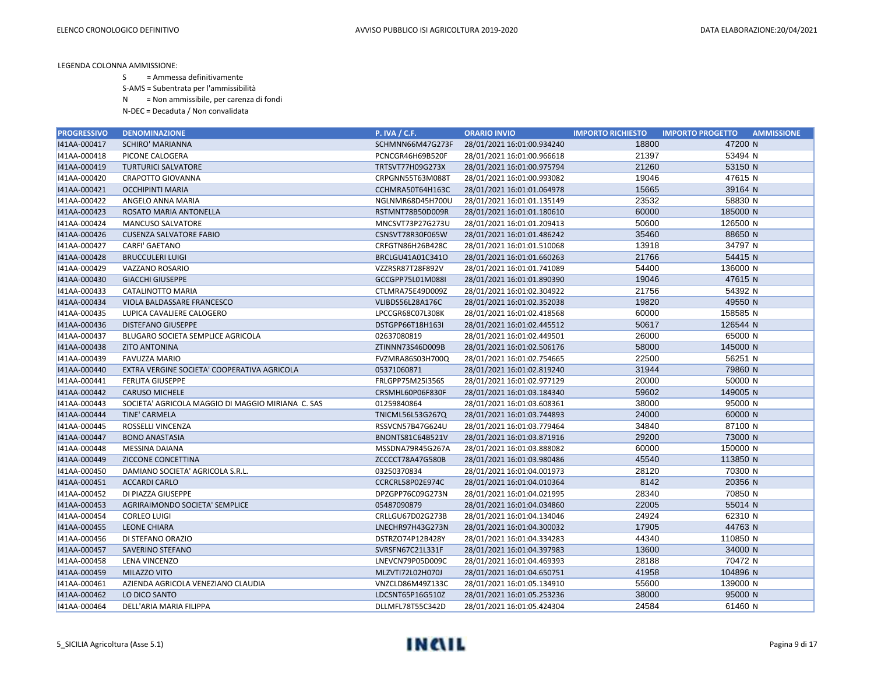S = Ammessa definitivamente

S-AMS = Subentrata per l'ammissibilità

N = Non ammissibile, per carenza di fondi

| <b>PROGRESSIVO</b> | <b>DENOMINAZIONE</b>                              | <b>P. IVA / C.F.</b>    | <b>ORARIO INVIO</b>        | <b>IMPORTO RICHIESTO</b> | <b>IMPORTO PROGETTO</b><br><b>AMMISSIONE</b> |
|--------------------|---------------------------------------------------|-------------------------|----------------------------|--------------------------|----------------------------------------------|
| I41AA-000417       | <b>SCHIRO' MARIANNA</b>                           | SCHMNN66M47G273F        | 28/01/2021 16:01:00.934240 | 18800                    | 47200 N                                      |
| I41AA-000418       | PICONE CALOGERA                                   | PCNCGR46H69B520F        | 28/01/2021 16:01:00.966618 | 21397                    | 53494 N                                      |
| I41AA-000419       | <b>TURTURICI SALVATORE</b>                        | TRTSVT77H09G273X        | 28/01/2021 16:01:00.975794 | 21260                    | 53150 N                                      |
| I41AA-000420       | <b>CRAPOTTO GIOVANNA</b>                          | CRPGNN55T63M088T        | 28/01/2021 16:01:00.993082 | 19046                    | 47615 N                                      |
| 141AA-000421       | <b>OCCHIPINTI MARIA</b>                           | CCHMRA50T64H163C        | 28/01/2021 16:01:01.064978 | 15665                    | 39164 N                                      |
| I41AA-000422       | ANGELO ANNA MARIA                                 | NGLNMR68D45H700U        | 28/01/2021 16:01:01.135149 | 23532                    | 58830 N                                      |
| I41AA-000423       | ROSATO MARIA ANTONELLA                            | RSTMNT78B50D009R        | 28/01/2021 16:01:01.180610 | 60000                    | 185000 N                                     |
| I41AA-000424       | <b>MANCUSO SALVATORE</b>                          | MNCSVT73P27G273U        | 28/01/2021 16:01:01.209413 | 50600                    | 126500 N                                     |
| I41AA-000426       | <b>CUSENZA SALVATORE FABIO</b>                    | CSNSVT78R30F065W        | 28/01/2021 16:01:01.486242 | 35460                    | 88650 N                                      |
| I41AA-000427       | <b>CARFI' GAETANO</b>                             | CRFGTN86H26B428C        | 28/01/2021 16:01:01.510068 | 13918                    | 34797 N                                      |
| I41AA-000428       | <b>BRUCCULERI LUIGI</b>                           | BRCLGU41A01C341O        | 28/01/2021 16:01:01.660263 | 21766                    | 54415 N                                      |
| I41AA-000429       | VAZZANO ROSARIO                                   | VZZRSR87T28F892V        | 28/01/2021 16:01:01.741089 | 54400                    | 136000 N                                     |
| 141AA-000430       | <b>GIACCHI GIUSEPPE</b>                           | GCCGPP75L01M088I        | 28/01/2021 16:01:01.890390 | 19046                    | 47615 N                                      |
| I41AA-000433       | CATALINOTTO MARIA                                 | CTLMRA75E49D009Z        | 28/01/2021 16:01:02.304922 | 21756                    | 54392 N                                      |
| I41AA-000434       | VIOLA BALDASSARE FRANCESCO                        | VLIBDS56L28A176C        | 28/01/2021 16:01:02.352038 | 19820                    | 49550 N                                      |
| I41AA-000435       | LUPICA CAVALIERE CALOGERO                         | LPCCGR68C07L308K        | 28/01/2021 16:01:02.418568 | 60000                    | 158585 N                                     |
| 141AA-000436       | <b>DISTEFANO GIUSEPPE</b>                         | DSTGPP66T18H163I        | 28/01/2021 16:01:02.445512 | 50617                    | 126544 N                                     |
| I41AA-000437       | BLUGARO SOCIETA SEMPLICE AGRICOLA                 | 02637080819             | 28/01/2021 16:01:02.449501 | 26000                    | 65000 N                                      |
| I41AA-000438       | <b>ZITO ANTONINA</b>                              | ZTINNN73S46D009B        | 28/01/2021 16:01:02.506176 | 58000                    | 145000 N                                     |
| I41AA-000439       | <b>FAVUZZA MARIO</b>                              | FVZMRA86S03H700Q        | 28/01/2021 16:01:02.754665 | 22500                    | 56251 N                                      |
| 141AA-000440       | EXTRA VERGINE SOCIETA' COOPERATIVA AGRICOLA       | 05371060871             | 28/01/2021 16:01:02.819240 | 31944                    | 79860 N                                      |
| I41AA-000441       | <b>FERLITA GIUSEPPE</b>                           | FRLGPP75M25I356S        | 28/01/2021 16:01:02.977129 | 20000                    | 50000 N                                      |
| I41AA-000442       | <b>CARUSO MICHELE</b>                             | CRSMHL60P06F830F        | 28/01/2021 16:01:03.184340 | 59602                    | 149005 N                                     |
| I41AA-000443       | SOCIETA' AGRICOLA MAGGIO DI MAGGIO MIRIANA C. SAS | 01259840864             | 28/01/2021 16:01:03.608361 | 38000                    | 95000 N                                      |
| 141AA-000444       | <b>TINE' CARMELA</b>                              | <b>TNICML56L53G267Q</b> | 28/01/2021 16:01:03.744893 | 24000                    | 60000 N                                      |
| I41AA-000445       | ROSSELLI VINCENZA                                 | RSSVCN57B47G624U        | 28/01/2021 16:01:03.779464 | 34840                    | 87100 N                                      |
| I41AA-000447       | <b>BONO ANASTASIA</b>                             | BNONTS81C64B521V        | 28/01/2021 16:01:03.871916 | 29200                    | 73000 N                                      |
| I41AA-000448       | MESSINA DAIANA                                    | MSSDNA79R45G267A        | 28/01/2021 16:01:03.888082 | 60000                    | 150000 N                                     |
| 141AA-000449       | ZICCONE CONCETTINA                                | ZCCCCT78A47G580B        | 28/01/2021 16:01:03.980486 | 45540                    | 113850 N                                     |
| I41AA-000450       | DAMIANO SOCIETA' AGRICOLA S.R.L.                  | 03250370834             | 28/01/2021 16:01:04.001973 | 28120                    | 70300 N                                      |
| I41AA-000451       | <b>ACCARDI CARLO</b>                              | CCRCRL58P02E974C        | 28/01/2021 16:01:04.010364 | 8142                     | 20356 N                                      |
| I41AA-000452       | DI PIAZZA GIUSEPPE                                | DPZGPP76C09G273N        | 28/01/2021 16:01:04.021995 | 28340                    | 70850 N                                      |
| I41AA-000453       | AGRIRAIMONDO SOCIETA' SEMPLICE                    | 05487090879             | 28/01/2021 16:01:04.034860 | 22005                    | 55014 N                                      |
| I41AA-000454       | <b>CORLEO LUIGI</b>                               | CRLLGU67D02G273B        | 28/01/2021 16:01:04.134046 | 24924                    | 62310 N                                      |
| I41AA-000455       | <b>LEONE CHIARA</b>                               | LNECHR97H43G273N        | 28/01/2021 16:01:04.300032 | 17905                    | 44763 N                                      |
| I41AA-000456       | DI STEFANO ORAZIO                                 | DSTRZO74P12B428Y        | 28/01/2021 16:01:04.334283 | 44340                    | 110850 N                                     |
| I41AA-000457       | SAVERINO STEFANO                                  | SVRSFN67C21L331F        | 28/01/2021 16:01:04.397983 | 13600                    | 34000 N                                      |
| I41AA-000458       | LENA VINCENZO                                     | LNEVCN79P05D009C        | 28/01/2021 16:01:04.469393 | 28188                    | 70472 N                                      |
| I41AA-000459       | MILAZZO VITO                                      | MLZVTI72L02H070J        | 28/01/2021 16:01:04.650751 | 41958                    | 104896 N                                     |
| I41AA-000461       | AZIENDA AGRICOLA VENEZIANO CLAUDIA                | VNZCLD86M49Z133C        | 28/01/2021 16:01:05.134910 | 55600                    | 139000 N                                     |
| 141AA-000462       | LO DICO SANTO                                     | LDCSNT65P16G510Z        | 28/01/2021 16:01:05.253236 | 38000                    | 95000 N                                      |
| 141AA-000464       | DELL'ARIA MARIA FILIPPA                           | DLLMFL78T55C342D        | 28/01/2021 16:01:05.424304 | 24584                    | 61460 N                                      |

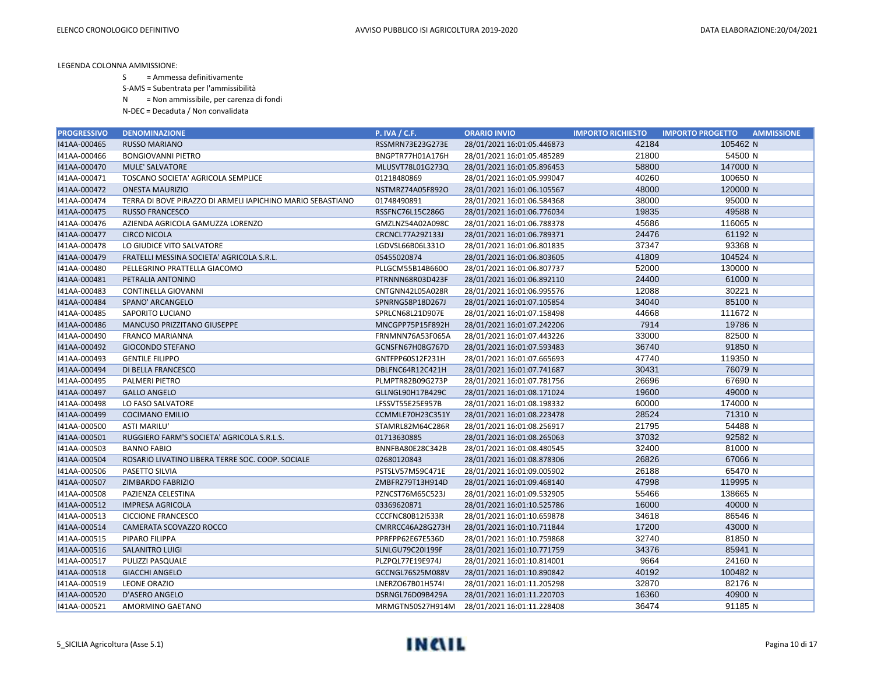S = Ammessa definitivamente

S-AMS = Subentrata per l'ammissibilità

N = Non ammissibile, per carenza di fondi

| <b>PROGRESSIVO</b> | <b>DENOMINAZIONE</b>                                       | <b>P. IVA / C.F.</b> | <b>ORARIO INVIO</b>        | <b>IMPORTO RICHIESTO</b> | <b>IMPORTO PROGETTO</b><br><b>AMMISSIONE</b> |
|--------------------|------------------------------------------------------------|----------------------|----------------------------|--------------------------|----------------------------------------------|
| I41AA-000465       | <b>RUSSO MARIANO</b>                                       | RSSMRN73E23G273E     | 28/01/2021 16:01:05.446873 | 42184                    | 105462 N                                     |
| I41AA-000466       | <b>BONGIOVANNI PIETRO</b>                                  | BNGPTR77H01A176H     | 28/01/2021 16:01:05.485289 | 21800                    | 54500 N                                      |
| I41AA-000470       | <b>MULE' SALVATORE</b>                                     | MLUSVT78L01G273Q     | 28/01/2021 16:01:05.896453 | 58800                    | 147000 N                                     |
| I41AA-000471       | TOSCANO SOCIETA' AGRICOLA SEMPLICE                         | 01218480869          | 28/01/2021 16:01:05.999047 | 40260                    | 100650 N                                     |
| I41AA-000472       | <b>ONESTA MAURIZIO</b>                                     | NSTMRZ74A05F892O     | 28/01/2021 16:01:06.105567 | 48000                    | 120000 N                                     |
| I41AA-000474       | TERRA DI BOVE PIRAZZO DI ARMELI IAPICHINO MARIO SEBASTIANO | 01748490891          | 28/01/2021 16:01:06.584368 | 38000                    | 95000 N                                      |
| I41AA-000475       | <b>RUSSO FRANCESCO</b>                                     | RSSFNC76L15C286G     | 28/01/2021 16:01:06.776034 | 19835                    | 49588 N                                      |
| I41AA-000476       | AZIENDA AGRICOLA GAMUZZA LORENZO                           | GMZLNZ54A02A098C     | 28/01/2021 16:01:06.788378 | 45686                    | 116065 N                                     |
| I41AA-000477       | <b>CIRCO NICOLA</b>                                        | CRCNCL77A29Z133J     | 28/01/2021 16:01:06.789371 | 24476                    | 61192 N                                      |
| I41AA-000478       | LO GIUDICE VITO SALVATORE                                  | LGDVSL66B06L331O     | 28/01/2021 16:01:06.801835 | 37347                    | 93368 N                                      |
| I41AA-000479       | FRATELLI MESSINA SOCIETA' AGRICOLA S.R.L.                  | 05455020874          | 28/01/2021 16:01:06.803605 | 41809                    | 104524 N                                     |
| I41AA-000480       | PELLEGRINO PRATTELLA GIACOMO                               | PLLGCM55B14B660O     | 28/01/2021 16:01:06.807737 | 52000                    | 130000 N                                     |
| I41AA-000481       | PETRALIA ANTONINO                                          | PTRNNN68R03D423F     | 28/01/2021 16:01:06.892110 | 24400                    | 61000 N                                      |
| I41AA-000483       | CONTINELLA GIOVANNI                                        | CNTGNN42L05A028R     | 28/01/2021 16:01:06.995576 | 12088                    | 30221 N                                      |
| 141AA-000484       | SPANO' ARCANGELO                                           | SPNRNG58P18D267J     | 28/01/2021 16:01:07.105854 | 34040                    | 85100 N                                      |
| I41AA-000485       | SAPORITO LUCIANO                                           | SPRLCN68L21D907E     | 28/01/2021 16:01:07.158498 | 44668                    | 111672 N                                     |
| I41AA-000486       | <b>MANCUSO PRIZZITANO GIUSEPPE</b>                         | MNCGPP75P15F892H     | 28/01/2021 16:01:07.242206 | 7914                     | 19786 N                                      |
| I41AA-000490       | <b>FRANCO MARIANNA</b>                                     | FRNMNN76A53F065A     | 28/01/2021 16:01:07.443226 | 33000                    | 82500 N                                      |
| I41AA-000492       | <b>GIOCONDO STEFANO</b>                                    | GCNSFN67H08G767D     | 28/01/2021 16:01:07.593483 | 36740                    | 91850 N                                      |
| I41AA-000493       | <b>GENTILE FILIPPO</b>                                     | GNTFPP60S12F231H     | 28/01/2021 16:01:07.665693 | 47740                    | 119350 N                                     |
| I41AA-000494       | DI BELLA FRANCESCO                                         | DBLFNC64R12C421H     | 28/01/2021 16:01:07.741687 | 30431                    | 76079 N                                      |
| I41AA-000495       | <b>PALMERI PIETRO</b>                                      | PLMPTR82B09G273P     | 28/01/2021 16:01:07.781756 | 26696                    | 67690 N                                      |
| I41AA-000497       | <b>GALLO ANGELO</b>                                        | GLLNGL90H17B429C     | 28/01/2021 16:01:08.171024 | 19600                    | 49000 N                                      |
| I41AA-000498       | LO FASO SALVATORE                                          | LFSSVT55E25E957B     | 28/01/2021 16:01:08.198332 | 60000                    | 174000 N                                     |
| I41AA-000499       | <b>COCIMANO EMILIO</b>                                     | CCMMLE70H23C351Y     | 28/01/2021 16:01:08.223478 | 28524                    | 71310 N                                      |
| I41AA-000500       | <b>ASTI MARILU'</b>                                        | STAMRL82M64C286R     | 28/01/2021 16:01:08.256917 | 21795                    | 54488 N                                      |
| I41AA-000501       | RUGGIERO FARM'S SOCIETA' AGRICOLA S.R.L.S.                 | 01713630885          | 28/01/2021 16:01:08.265063 | 37032                    | 92582 N                                      |
| I41AA-000503       | <b>BANNO FABIO</b>                                         | BNNFBA80E28C342B     | 28/01/2021 16:01:08.480545 | 32400                    | 81000 N                                      |
| I41AA-000504       | ROSARIO LIVATINO LIBERA TERRE SOC. COOP. SOCIALE           | 02680120843          | 28/01/2021 16:01:08.878306 | 26826                    | 67066 N                                      |
| I41AA-000506       | PASETTO SILVIA                                             | PSTSLV57M59C471E     | 28/01/2021 16:01:09.005902 | 26188                    | 65470 N                                      |
| I41AA-000507       | ZIMBARDO FABRIZIO                                          | ZMBFRZ79T13H914D     | 28/01/2021 16:01:09.468140 | 47998                    | 119995 N                                     |
| I41AA-000508       | PAZIENZA CELESTINA                                         | PZNCST76M65C523J     | 28/01/2021 16:01:09.532905 | 55466                    | 138665 N                                     |
| I41AA-000512       | <b>IMPRESA AGRICOLA</b>                                    | 03369620871          | 28/01/2021 16:01:10.525786 | 16000                    | 40000 N                                      |
| I41AA-000513       | <b>CICCIONE FRANCESCO</b>                                  | CCCFNC80B12I533R     | 28/01/2021 16:01:10.659878 | 34618                    | 86546 N                                      |
| I41AA-000514       | CAMERATA SCOVAZZO ROCCO                                    | CMRRCC46A28G273H     | 28/01/2021 16:01:10.711844 | 17200                    | 43000 N                                      |
| I41AA-000515       | PIPARO FILIPPA                                             | PPRFPP62E67E536D     | 28/01/2021 16:01:10.759868 | 32740                    | 81850 N                                      |
| I41AA-000516       | <b>SALANITRO LUIGI</b>                                     | SLNLGU79C20I199F     | 28/01/2021 16:01:10.771759 | 34376                    | 85941 N                                      |
| I41AA-000517       | PULIZZI PASQUALE                                           | PLZPQL77E19E974J     | 28/01/2021 16:01:10.814001 | 9664                     | 24160 N                                      |
| I41AA-000518       | <b>GIACCHI ANGELO</b>                                      | GCCNGL76S25M088V     | 28/01/2021 16:01:10.890842 | 40192                    | 100482 N                                     |
| I41AA-000519       | <b>LEONE ORAZIO</b>                                        | LNERZO67B01H574I     | 28/01/2021 16:01:11.205298 | 32870                    | 82176 N                                      |
| I41AA-000520       | D'ASERO ANGELO                                             | DSRNGL76D09B429A     | 28/01/2021 16:01:11.220703 | 16360                    | 40900 N                                      |
| 141AA-000521       | AMORMINO GAETANO                                           | MRMGTN50S27H914M     | 28/01/2021 16:01:11.228408 | 36474                    | 91185 N                                      |

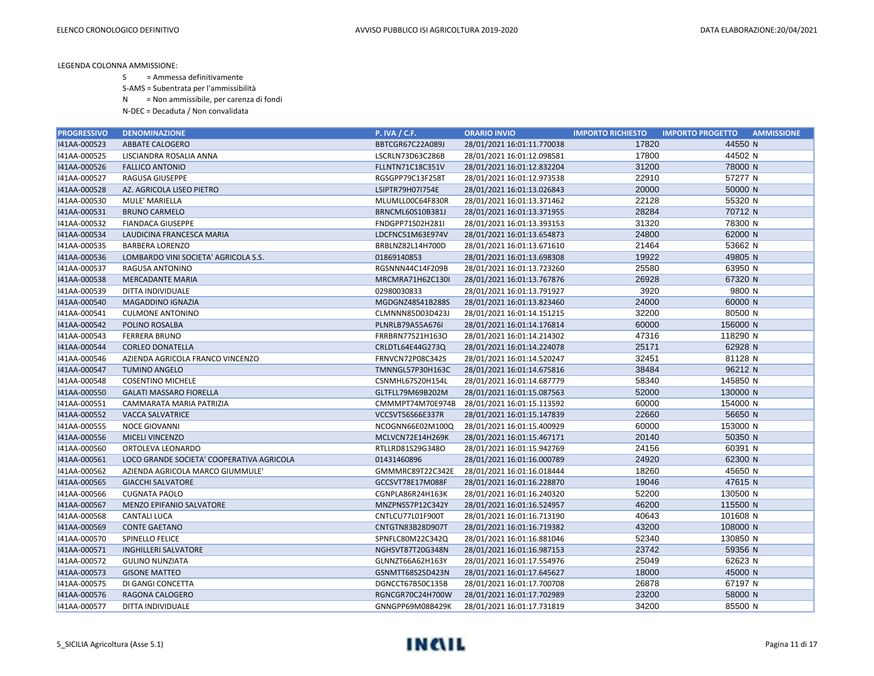S = Ammessa definitivamente

S-AMS = Subentrata per l'ammissibilità

N = Non ammissibile, per carenza di fondi

| <b>PROGRESSIVO</b> | <b>DENOMINAZIONE</b>                      | <b>P. IVA / C.F.</b> | <b>ORARIO INVIO</b>        | <b>IMPORTO RICHIESTO</b> | <b>IMPORTO PROGETTO</b><br><b>AMMISSIONE</b> |
|--------------------|-------------------------------------------|----------------------|----------------------------|--------------------------|----------------------------------------------|
| I41AA-000523       | ABBATE CALOGERO                           | BBTCGR67C22A089J     | 28/01/2021 16:01:11.770038 | 17820                    | 44550 N                                      |
| I41AA-000525       | LISCIANDRA ROSALIA ANNA                   | LSCRLN73D63C286B     | 28/01/2021 16:01:12.098581 | 17800                    | 44502 N                                      |
| 141AA-000526       | <b>FALLICO ANTONIO</b>                    | FLLNTN71C18C351V     | 28/01/2021 16:01:12.832204 | 31200                    | 78000 N                                      |
| I41AA-000527       | RAGUSA GIUSEPPE                           | RGSGPP79C13F258T     | 28/01/2021 16:01:12.973538 | 22910                    | 57277 N                                      |
| I41AA-000528       | AZ. AGRICOLA LISEO PIETRO                 | LSIPTR79H07I754E     | 28/01/2021 16:01:13.026843 | 20000                    | 50000 N                                      |
| I41AA-000530       | MULE' MARIELLA                            | MLUMLL00C64F830R     | 28/01/2021 16:01:13.371462 | 22128                    | 55320 N                                      |
| I41AA-000531       | <b>BRUNO CARMELO</b>                      | BRNCML60S10B381J     | 28/01/2021 16:01:13.371955 | 28284                    | 70712 N                                      |
| I41AA-000532       | <b>FIANDACA GIUSEPPE</b>                  | FNDGPP71S02H281I     | 28/01/2021 16:01:13.393153 | 31320                    | 78300 N                                      |
| I41AA-000534       | LAUDICINA FRANCESCA MARIA                 | LDCFNC51M63E974V     | 28/01/2021 16:01:13.654873 | 24800                    | 62000 N                                      |
| I41AA-000535       | <b>BARBERA LORENZO</b>                    | BRBLNZ82L14H700D     | 28/01/2021 16:01:13.671610 | 21464                    | 53662 N                                      |
| 141AA-000536       | LOMBARDO VINI SOCIETA' AGRICOLA S.S.      | 01869140853          | 28/01/2021 16:01:13.698308 | 19922                    | 49805 N                                      |
| I41AA-000537       | RAGUSA ANTONINO                           | RGSNNN44C14F209B     | 28/01/2021 16:01:13.723260 | 25580                    | 63950 N                                      |
| I41AA-000538       | <b>MERCADANTE MARIA</b>                   | MRCMRA71H62C130I     | 28/01/2021 16:01:13.767876 | 26928                    | 67320 N                                      |
| I41AA-000539       | DITTA INDIVIDUALE                         | 02980030833          | 28/01/2021 16:01:13.791927 | 3920                     | 9800 N                                       |
| I41AA-000540       | <b>MAGADDINO IGNAZIA</b>                  | MGDGNZ48S41B288S     | 28/01/2021 16:01:13.823460 | 24000                    | 60000 N                                      |
| I41AA-000541       | <b>CULMONE ANTONINO</b>                   | CLMNNN85D03D423J     | 28/01/2021 16:01:14.151215 | 32200                    | 80500 N                                      |
| 141AA-000542       | POLINO ROSALBA                            | PLNRLB79A55A676I     | 28/01/2021 16:01:14.176814 | 60000                    | 156000 N                                     |
| I41AA-000543       | <b>FERRERA BRUNO</b>                      | FRRBRN77S21H163O     | 28/01/2021 16:01:14.214302 | 47316                    | 118290 N                                     |
| I41AA-000544       | <b>CORLEO DONATELLA</b>                   | CRLDTL64E44G273Q     | 28/01/2021 16:01:14.224078 | 25171                    | 62928 N                                      |
| I41AA-000546       | AZIENDA AGRICOLA FRANCO VINCENZO          | FRNVCN72P08C342S     | 28/01/2021 16:01:14.520247 | 32451                    | 81128 N                                      |
| I41AA-000547       | <b>TUMINO ANGELO</b>                      | TMNNGL57P30H163C     | 28/01/2021 16:01:14.675816 | 38484                    | 96212 N                                      |
| I41AA-000548       | <b>COSENTINO MICHELE</b>                  | CSNMHL67S20H154L     | 28/01/2021 16:01:14.687779 | 58340                    | 145850 N                                     |
| I41AA-000550       | <b>GALATI MASSARO FIORELLA</b>            | GLTFLL79M69B202M     | 28/01/2021 16:01:15.087563 | 52000                    | 130000 N                                     |
| I41AA-000551       | CAMMARATA MARIA PATRIZIA                  | CMMMPT74M70E974B     | 28/01/2021 16:01:15.113592 | 60000                    | 154000 N                                     |
| I41AA-000552       | <b>VACCA SALVATRICE</b>                   | VCCSVT56S66E337R     | 28/01/2021 16:01:15.147839 | 22660                    | 56650 N                                      |
| I41AA-000555       | <b>NOCE GIOVANNI</b>                      | NCOGNN66E02M100Q     | 28/01/2021 16:01:15.400929 | 60000                    | 153000 N                                     |
| I41AA-000556       | MICELI VINCENZO                           | MCLVCN72E14H269K     | 28/01/2021 16:01:15.467171 | 20140                    | 50350 N                                      |
| I41AA-000560       | ORTOLEVA LEONARDO                         | RTLLRD81S29G348O     | 28/01/2021 16:01:15.942769 | 24156                    | 60391 N                                      |
| 141AA-000561       | LOCO GRANDE SOCIETA' COOPERATIVA AGRICOLA | 01431460896          | 28/01/2021 16:01:16.000789 | 24920                    | 62300 N                                      |
| I41AA-000562       | AZIENDA AGRICOLA MARCO GIUMMULE'          | GMMMRC89T22C342E     | 28/01/2021 16:01:16.018444 | 18260                    | 45650 N                                      |
| I41AA-000565       | <b>GIACCHI SALVATORE</b>                  | GCCSVT78E17M088F     | 28/01/2021 16:01:16.228870 | 19046                    | 47615 N                                      |
| I41AA-000566       | <b>CUGNATA PAOLO</b>                      | CGNPLA86R24H163K     | 28/01/2021 16:01:16.240320 | 52200                    | 130500 N                                     |
| I41AA-000567       | <b>MENZO EPIFANIO SALVATORE</b>           | MNZPNS57P12C342Y     | 28/01/2021 16:01:16.524957 | 46200                    | 115500 N                                     |
| I41AA-000568       | <b>CANTALI LUCA</b>                       | CNTLCU77L01F900T     | 28/01/2021 16:01:16.713190 | 40643                    | 101608 N                                     |
| I41AA-000569       | <b>CONTE GAETANO</b>                      | CNTGTN83B28D907T     | 28/01/2021 16:01:16.719382 | 43200                    | 108000 N                                     |
| I41AA-000570       | SPINELLO FELICE                           | SPNFLC80M22C342Q     | 28/01/2021 16:01:16.881046 | 52340                    | 130850 N                                     |
| I41AA-000571       | <b>INGHILLERI SALVATORE</b>               | NGHSVT87T20G348N     | 28/01/2021 16:01:16.987153 | 23742                    | 59356 N                                      |
| I41AA-000572       | <b>GULINO NUNZIATA</b>                    | GLNNZT66A62H163Y     | 28/01/2021 16:01:17.554976 | 25049                    | 62623 N                                      |
| I41AA-000573       | <b>GISONE MATTEO</b>                      | GSNMTT68S25D423N     | 28/01/2021 16:01:17.645627 | 18000                    | 45000 N                                      |
| I41AA-000575       | DI GANGI CONCETTA                         | DGNCCT67B50C135B     | 28/01/2021 16:01:17.700708 | 26878                    | 67197 N                                      |
| I41AA-000576       | RAGONA CALOGERO                           | RGNCGR70C24H700W     | 28/01/2021 16:01:17.702989 | 23200                    | 58000 N                                      |
| I41AA-000577       | DITTA INDIVIDUALE                         | GNNGPP69M08B429K     | 28/01/2021 16:01:17.731819 | 34200                    | 85500 N                                      |

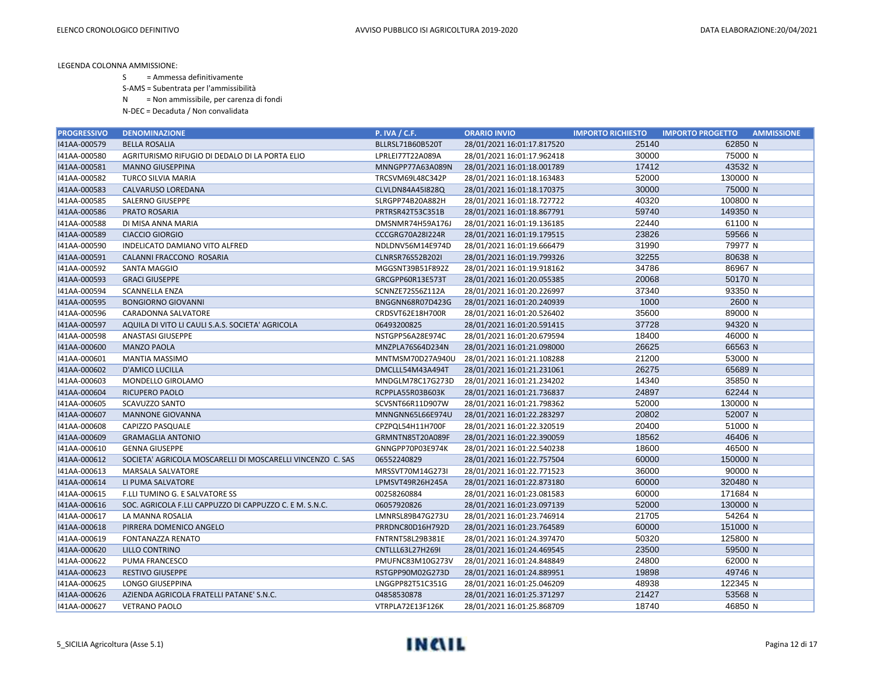S = Ammessa definitivamente

S-AMS = Subentrata per l'ammissibilità

N = Non ammissibile, per carenza di fondi

| <b>PROGRESSIVO</b> | <b>DENOMINAZIONE</b>                                       | <b>P. IVA / C.F.</b>    | <b>ORARIO INVIO</b>        | <b>IMPORTO RICHIESTO</b> | <b>IMPORTO PROGETTO</b><br><b>AMMISSIONE</b> |
|--------------------|------------------------------------------------------------|-------------------------|----------------------------|--------------------------|----------------------------------------------|
| I41AA-000579       | <b>BELLA ROSALIA</b>                                       | BLLRSL71B60B520T        | 28/01/2021 16:01:17.817520 | 25140                    | 62850 N                                      |
| I41AA-000580       | AGRITURISMO RIFUGIO DI DEDALO DI LA PORTA ELIO             | LPRLEI77T22A089A        | 28/01/2021 16:01:17.962418 | 30000                    | 75000 N                                      |
| I41AA-000581       | <b>MANNO GIUSEPPINA</b>                                    | MNNGPP77A63A089N        | 28/01/2021 16:01:18.001789 | 17412                    | 43532 N                                      |
| I41AA-000582       | <b>TURCO SILVIA MARIA</b>                                  | TRCSVM69L48C342P        | 28/01/2021 16:01:18.163483 | 52000                    | 130000 N                                     |
| I41AA-000583       | CALVARUSO LOREDANA                                         | CLVLDN84A451828Q        | 28/01/2021 16:01:18.170375 | 30000                    | 75000 N                                      |
| I41AA-000585       | <b>SALERNO GIUSEPPE</b>                                    | SLRGPP74B20A882H        | 28/01/2021 16:01:18.727722 | 40320                    | 100800 N                                     |
| I41AA-000586       | <b>PRATO ROSARIA</b>                                       | PRTRSR42T53C351B        | 28/01/2021 16:01:18.867791 | 59740                    | 149350 N                                     |
| I41AA-000588       | DI MISA ANNA MARIA                                         | DMSNMR74H59A176J        | 28/01/2021 16:01:19.136185 | 22440                    | 61100 N                                      |
| 141AA-000589       | <b>CIACCIO GIORGIO</b>                                     | CCCGRG70A28I224R        | 28/01/2021 16:01:19.179515 | 23826                    | 59566 N                                      |
| I41AA-000590       | INDELICATO DAMIANO VITO ALFRED                             | NDLDNV56M14E974D        | 28/01/2021 16:01:19.666479 | 31990                    | 79977 N                                      |
| I41AA-000591       | CALANNI FRACCONO ROSARIA                                   | <b>CLNRSR76S52B202I</b> | 28/01/2021 16:01:19.799326 | 32255                    | 80638 N                                      |
| 141AA-000592       | SANTA MAGGIO                                               | MGGSNT39B51F892Z        | 28/01/2021 16:01:19.918162 | 34786                    | 86967 N                                      |
| I41AA-000593       | <b>GRACI GIUSEPPE</b>                                      | GRCGPP60R13E573T        | 28/01/2021 16:01:20.055385 | 20068                    | 50170 N                                      |
| I41AA-000594       | <b>SCANNELLA ENZA</b>                                      | SCNNZE72S56Z112A        | 28/01/2021 16:01:20.226997 | 37340                    | 93350 N                                      |
| I41AA-000595       | <b>BONGIORNO GIOVANNI</b>                                  | BNGGNN68R07D423G        | 28/01/2021 16:01:20.240939 | 1000                     | 2600 N                                       |
| I41AA-000596       | CARADONNA SALVATORE                                        | CRDSVT62E18H700R        | 28/01/2021 16:01:20.526402 | 35600                    | 89000 N                                      |
| I41AA-000597       | AQUILA DI VITO LI CAULI S.A.S. SOCIETA' AGRICOLA           | 06493200825             | 28/01/2021 16:01:20.591415 | 37728                    | 94320 N                                      |
| I41AA-000598       | <b>ANASTASI GIUSEPPE</b>                                   | NSTGPP56A28E974C        | 28/01/2021 16:01:20.679594 | 18400                    | 46000 N                                      |
| I41AA-000600       | <b>MANZO PAOLA</b>                                         | MNZPLA76S64D234N        | 28/01/2021 16:01:21.098000 | 26625                    | 66563 N                                      |
| I41AA-000601       | MANTIA MASSIMO                                             | MNTMSM70D27A940U        | 28/01/2021 16:01:21.108288 | 21200                    | 53000 N                                      |
| 141AA-000602       | <b>D'AMICO LUCILLA</b>                                     | DMCLLL54M43A494T        | 28/01/2021 16:01:21.231061 | 26275                    | 65689 N                                      |
| I41AA-000603       | MONDELLO GIROLAMO                                          | MNDGLM78C17G273D        | 28/01/2021 16:01:21.234202 | 14340                    | 35850 N                                      |
| I41AA-000604       | <b>RICUPERO PAOLO</b>                                      | RCPPLA55R03B603K        | 28/01/2021 16:01:21.736837 | 24897                    | 62244 N                                      |
| I41AA-000605       | SCAVUZZO SANTO                                             | SCVSNT66R11D907W        | 28/01/2021 16:01:21.798362 | 52000                    | 130000 N                                     |
| I41AA-000607       | <b>MANNONE GIOVANNA</b>                                    | MNNGNN65L66E974U        | 28/01/2021 16:01:22.283297 | 20802                    | 52007 N                                      |
| I41AA-000608       | CAPIZZO PASQUALE                                           | CPZPQL54H11H700F        | 28/01/2021 16:01:22.320519 | 20400                    | 51000 N                                      |
| I41AA-000609       | <b>GRAMAGLIA ANTONIO</b>                                   | GRMNTN85T20A089F        | 28/01/2021 16:01:22.390059 | 18562                    | 46406 N                                      |
| 141AA-000610       | <b>GENNA GIUSEPPE</b>                                      | GNNGPP70P03E974K        | 28/01/2021 16:01:22.540238 | 18600                    | 46500 N                                      |
| I41AA-000612       | SOCIETA' AGRICOLA MOSCARELLI DI MOSCARELLI VINCENZO C. SAS | 06552240829             | 28/01/2021 16:01:22.757504 | 60000                    | 150000 N                                     |
| I41AA-000613       | MARSALA SALVATORE                                          | MRSSVT70M14G273I        | 28/01/2021 16:01:22.771523 | 36000                    | 90000 N                                      |
| I41AA-000614       | LI PUMA SALVATORE                                          | LPMSVT49R26H245A        | 28/01/2021 16:01:22.873180 | 60000                    | 320480 N                                     |
| I41AA-000615       | F.LLI TUMINO G. E SALVATORE SS                             | 00258260884             | 28/01/2021 16:01:23.081583 | 60000                    | 171684 N                                     |
| I41AA-000616       | SOC. AGRICOLA F.LLI CAPPUZZO DI CAPPUZZO C. E M. S.N.C.    | 06057920826             | 28/01/2021 16:01:23.097139 | 52000                    | 130000 N                                     |
| I41AA-000617       | LA MANNA ROSALIA                                           | LMNRSL89B47G273U        | 28/01/2021 16:01:23.746914 | 21705                    | 54264 N                                      |
| I41AA-000618       | PIRRERA DOMENICO ANGELO                                    | PRRDNC80D16H792D        | 28/01/2021 16:01:23.764589 | 60000                    | 151000 N                                     |
| I41AA-000619       | FONTANAZZA RENATO                                          | FNTRNT58L29B381E        | 28/01/2021 16:01:24.397470 | 50320                    | 125800 N                                     |
| 141AA-000620       | <b>LILLO CONTRINO</b>                                      | CNTLLL63L27H269I        | 28/01/2021 16:01:24.469545 | 23500                    | 59500 N                                      |
| I41AA-000622       | PUMA FRANCESCO                                             | PMUFNC83M10G273V        | 28/01/2021 16:01:24.848849 | 24800                    | 62000 N                                      |
| I41AA-000623       | <b>RESTIVO GIUSEPPE</b>                                    | RSTGPP90M02G273D        | 28/01/2021 16:01:24.889951 | 19898                    | 49746 N                                      |
| I41AA-000625       | <b>LONGO GIUSEPPINA</b>                                    | LNGGPP82T51C351G        | 28/01/2021 16:01:25.046209 | 48938                    | 122345 N                                     |
| 141AA-000626       | AZIENDA AGRICOLA FRATELLI PATANE' S.N.C.                   | 04858530878             | 28/01/2021 16:01:25.371297 | 21427                    | 53568 N                                      |
| I41AA-000627       | <b>VETRANO PAOLO</b>                                       | VTRPLA72E13F126K        | 28/01/2021 16:01:25.868709 | 18740                    | 46850 N                                      |

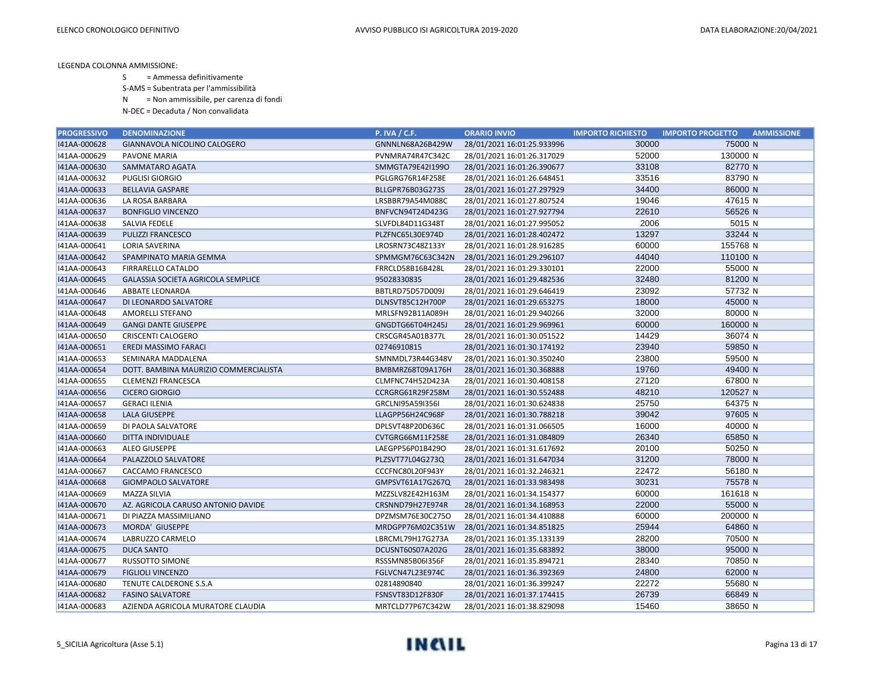S = Ammessa definitivamente

S-AMS = Subentrata per l'ammissibilità

N = Non ammissibile, per carenza di fondi

| <b>PROGRESSIVO</b> | <b>DENOMINAZIONE</b>                  | <b>P. IVA / C.F.</b> | <b>ORARIO INVIO</b>        | <b>IMPORTO RICHIESTO</b> | <b>IMPORTO PROGETTO</b><br><b>AMMISSIONE</b> |
|--------------------|---------------------------------------|----------------------|----------------------------|--------------------------|----------------------------------------------|
| I41AA-000628       | GIANNAVOLA NICOLINO CALOGERO          | GNNNLN68A26B429W     | 28/01/2021 16:01:25.933996 | 30000                    | 75000 N                                      |
| I41AA-000629       | <b>PAVONE MARIA</b>                   | PVNMRA74R47C342C     | 28/01/2021 16:01:26.317029 | 52000                    | 130000 N                                     |
| 141AA-000630       | SAMMATARO AGATA                       | SMMGTA79E42I1990     | 28/01/2021 16:01:26.390677 | 33108                    | 82770 N                                      |
| I41AA-000632       | <b>PUGLISI GIORGIO</b>                | PGLGRG76R14F258E     | 28/01/2021 16:01:26.648451 | 33516                    | 83790 N                                      |
| I41AA-000633       | <b>BELLAVIA GASPARE</b>               | BLLGPR76B03G273S     | 28/01/2021 16:01:27.297929 | 34400                    | 86000 N                                      |
| I41AA-000636       | LA ROSA BARBARA                       | LRSBBR79A54M088C     | 28/01/2021 16:01:27.807524 | 19046                    | 47615 N                                      |
| I41AA-000637       | <b>BONFIGLIO VINCENZO</b>             | BNFVCN94T24D423G     | 28/01/2021 16:01:27.927794 | 22610                    | 56526 N                                      |
| I41AA-000638       | SALVIA FEDELE                         | SLVFDL84D11G348T     | 28/01/2021 16:01:27.995052 | 2006                     | 5015 N                                       |
| I41AA-000639       | <b>PULIZZI FRANCESCO</b>              | PLZFNC65L30E974D     | 28/01/2021 16:01:28.402472 | 13297                    | 33244 N                                      |
| I41AA-000641       | LORIA SAVERINA                        | LROSRN73C48Z133Y     | 28/01/2021 16:01:28.916285 | 60000                    | 155768 N                                     |
| I41AA-000642       | SPAMPINATO MARIA GEMMA                | SPMMGM76C63C342N     | 28/01/2021 16:01:29.296107 | 44040                    | 110100 N                                     |
| I41AA-000643       | FIRRARELLO CATALDO                    | FRRCLD58B16B428L     | 28/01/2021 16:01:29.330101 | 22000                    | 55000 N                                      |
| I41AA-000645       | GALASSIA SOCIETA AGRICOLA SEMPLICE    | 95028330835          | 28/01/2021 16:01:29.482536 | 32480                    | 81200 N                                      |
| I41AA-000646       | ABBATE LEONARDA                       | BBTLRD75D57D009J     | 28/01/2021 16:01:29.646419 | 23092                    | 57732 N                                      |
| I41AA-000647       | DI LEONARDO SALVATORE                 | DLNSVT85C12H700P     | 28/01/2021 16:01:29.653275 | 18000                    | 45000 N                                      |
| I41AA-000648       | AMORELLI STEFANO                      | MRLSFN92B11A089H     | 28/01/2021 16:01:29.940266 | 32000                    | 80000 N                                      |
| 141AA-000649       | <b>GANGI DANTE GIUSEPPE</b>           | GNGDTG66T04H245J     | 28/01/2021 16:01:29.969961 | 60000                    | 160000 N                                     |
| I41AA-000650       | <b>CRISCENTI CALOGERO</b>             | CRSCGR45A01B377L     | 28/01/2021 16:01:30.051522 | 14429                    | 36074 N                                      |
| I41AA-000651       | EREDI MASSIMO FARACI                  | 02746910815          | 28/01/2021 16:01:30.174192 | 23940                    | 59850 N                                      |
| I41AA-000653       | SEMINARA MADDALENA                    | SMNMDL73R44G348V     | 28/01/2021 16:01:30.350240 | 23800                    | 59500 N                                      |
| 141AA-000654       | DOTT. BAMBINA MAURIZIO COMMERCIALISTA | BMBMRZ68T09A176H     | 28/01/2021 16:01:30.368888 | 19760                    | 49400 N                                      |
| I41AA-000655       | <b>CLEMENZI FRANCESCA</b>             | CLMFNC74H52D423A     | 28/01/2021 16:01:30.408158 | 27120                    | 67800 N                                      |
| I41AA-000656       | <b>CICERO GIORGIO</b>                 | CCRGRG61R29F258M     | 28/01/2021 16:01:30.552488 | 48210                    | 120527 N                                     |
| I41AA-000657       | <b>GERACI ILENIA</b>                  | GRCLNI95A59I356I     | 28/01/2021 16:01:30.624838 | 25750                    | 64375 N                                      |
| 141AA-000658       | <b>LALA GIUSEPPE</b>                  | LLAGPP56H24C968F     | 28/01/2021 16:01:30.788218 | 39042                    | 97605 N                                      |
| I41AA-000659       | DI PAOLA SALVATORE                    | DPLSVT48P20D636C     | 28/01/2021 16:01:31.066505 | 16000                    | 40000 N                                      |
| I41AA-000660       | DITTA INDIVIDUALE                     | CVTGRG66M11F258E     | 28/01/2021 16:01:31.084809 | 26340                    | 65850 N                                      |
| I41AA-000663       | ALEO GIUSEPPE                         | LAEGPP56P01B429O     | 28/01/2021 16:01:31.617692 | 20100                    | 50250 N                                      |
| 141AA-000664       | PALAZZOLO SALVATORE                   | PLZSVT77L04G273Q     | 28/01/2021 16:01:31.647034 | 31200                    | 78000 N                                      |
| I41AA-000667       | CACCAMO FRANCESCO                     | CCCFNC80L20F943Y     | 28/01/2021 16:01:32.246321 | 22472                    | 56180 N                                      |
| I41AA-000668       | <b>GIOMPAOLO SALVATORE</b>            | GMPSVT61A17G267Q     | 28/01/2021 16:01:33.983498 | 30231                    | 75578 N                                      |
| I41AA-000669       | <b>MAZZA SILVIA</b>                   | MZZSLV82E42H163M     | 28/01/2021 16:01:34.154377 | 60000                    | 161618 N                                     |
| I41AA-000670       | AZ. AGRICOLA CARUSO ANTONIO DAVIDE    | CRSNND79H27E974R     | 28/01/2021 16:01:34.168953 | 22000                    | 55000 N                                      |
| I41AA-000671       | DI PIAZZA MASSIMILIANO                | DPZMSM76E30C275O     | 28/01/2021 16:01:34.410888 | 60000                    | 200000 N                                     |
| I41AA-000673       | MORDA' GIUSEPPE                       | MRDGPP76M02C351W     | 28/01/2021 16:01:34.851825 | 25944                    | 64860 N                                      |
| I41AA-000674       | LABRUZZO CARMELO                      | LBRCML79H17G273A     | 28/01/2021 16:01:35.133139 | 28200                    | 70500 N                                      |
| I41AA-000675       | <b>DUCA SANTO</b>                     | DCUSNT60S07A202G     | 28/01/2021 16:01:35.683892 | 38000                    | 95000 N                                      |
| I41AA-000677       | <b>RUSSOTTO SIMONE</b>                | RSSSMN85B06I356F     | 28/01/2021 16:01:35.894721 | 28340                    | 70850 N                                      |
| I41AA-000679       | <b>FIGLIOLI VINCENZO</b>              | FGLVCN47L23E974C     | 28/01/2021 16:01:36.392369 | 24800                    | 62000 N                                      |
| I41AA-000680       | TENUTE CALDERONE S.S.A                | 02814890840          | 28/01/2021 16:01:36.399247 | 22272                    | 55680 N                                      |
| 141AA-000682       | <b>FASINO SALVATORE</b>               | FSNSVT83D12F830F     | 28/01/2021 16:01:37.174415 | 26739                    | 66849 N                                      |
| 141AA-000683       | AZIENDA AGRICOLA MURATORE CLAUDIA     | MRTCLD77P67C342W     | 28/01/2021 16:01:38.829098 | 15460                    | 38650 N                                      |

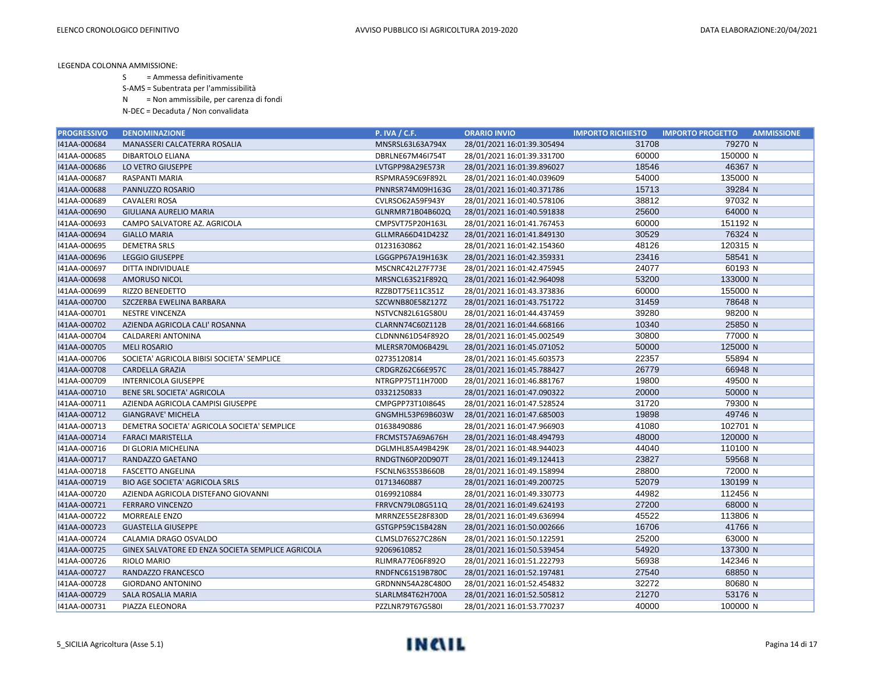S = Ammessa definitivamente

S-AMS = Subentrata per l'ammissibilità

N = Non ammissibile, per carenza di fondi

| <b>PROGRESSIVO</b> | <b>DENOMINAZIONE</b>                              | <b>P. IVA / C.F.</b>    | <b>ORARIO INVIO</b>        | <b>IMPORTO RICHIESTO</b> | <b>IMPORTO PROGETTO</b><br><b>AMMISSIONE</b> |
|--------------------|---------------------------------------------------|-------------------------|----------------------------|--------------------------|----------------------------------------------|
| I41AA-000684       | MANASSERI CALCATERRA ROSALIA                      | MNSRSL63L63A794X        | 28/01/2021 16:01:39.305494 | 31708                    | 79270 N                                      |
| I41AA-000685       | DIBARTOLO ELIANA                                  | DBRLNE67M46I754T        | 28/01/2021 16:01:39.331700 | 60000                    | 150000 N                                     |
| 141AA-000686       | LO VETRO GIUSEPPE                                 | LVTGPP98A29E573R        | 28/01/2021 16:01:39.896027 | 18546                    | 46367 N                                      |
| I41AA-000687       | RASPANTI MARIA                                    | RSPMRA59C69F892L        | 28/01/2021 16:01:40.039609 | 54000                    | 135000 N                                     |
| I41AA-000688       | PANNUZZO ROSARIO                                  | PNNRSR74M09H163G        | 28/01/2021 16:01:40.371786 | 15713                    | 39284 N                                      |
| I41AA-000689       | <b>CAVALERI ROSA</b>                              | CVLRSO62A59F943Y        | 28/01/2021 16:01:40.578106 | 38812                    | 97032 N                                      |
| I41AA-000690       | <b>GIULIANA AURELIO MARIA</b>                     | GLNRMR71B04B602Q        | 28/01/2021 16:01:40.591838 | 25600                    | 64000 N                                      |
| I41AA-000693       | CAMPO SALVATORE AZ. AGRICOLA                      | CMPSVT75P20H163L        | 28/01/2021 16:01:41.767453 | 60000                    | 151192 N                                     |
| I41AA-000694       | <b>GIALLO MARIA</b>                               | GLLMRA66D41D423Z        | 28/01/2021 16:01:41.849130 | 30529                    | 76324 N                                      |
| I41AA-000695       | <b>DEMETRA SRLS</b>                               | 01231630862             | 28/01/2021 16:01:42.154360 | 48126                    | 120315 N                                     |
| I41AA-000696       | <b>LEGGIO GIUSEPPE</b>                            | LGGGPP67A19H163K        | 28/01/2021 16:01:42.359331 | 23416                    | 58541 N                                      |
| I41AA-000697       | DITTA INDIVIDUALE                                 | MSCNRC42L27F773E        | 28/01/2021 16:01:42.475945 | 24077                    | 60193 N                                      |
| 141AA-000698       | <b>AMORUSO NICOL</b>                              | MRSNCL63S21F892Q        | 28/01/2021 16:01:42.964098 | 53200                    | 133000 N                                     |
| I41AA-000699       | <b>RIZZO BENEDETTO</b>                            | RZZBDT75E11C351Z        | 28/01/2021 16:01:43.373836 | 60000                    | 155000 N                                     |
| I41AA-000700       | SZCZERBA EWELINA BARBARA                          | SZCWNB80E58Z127Z        | 28/01/2021 16:01:43.751722 | 31459                    | 78648 N                                      |
| I41AA-000701       | <b>NESTRE VINCENZA</b>                            | NSTVCN82L61G580U        | 28/01/2021 16:01:44.437459 | 39280                    | 98200 N                                      |
| 141AA-000702       | AZIENDA AGRICOLA CALI' ROSANNA                    | CLARNN74C60Z112B        | 28/01/2021 16:01:44.668166 | 10340                    | 25850 N                                      |
| I41AA-000704       | CALDARERI ANTONINA                                | CLDNNN61D54F892O        | 28/01/2021 16:01:45.002549 | 30800                    | 77000 N                                      |
| I41AA-000705       | <b>MELI ROSARIO</b>                               | MLERSR70M06B429L        | 28/01/2021 16:01:45.071052 | 50000                    | 125000 N                                     |
| I41AA-000706       | SOCIETA' AGRICOLA BIBISI SOCIETA' SEMPLICE        | 02735120814             | 28/01/2021 16:01:45.603573 | 22357                    | 55894 N                                      |
| 141AA-000708       | <b>CARDELLA GRAZIA</b>                            | CRDGRZ62C66E957C        | 28/01/2021 16:01:45.788427 | 26779                    | 66948 N                                      |
| I41AA-000709       | INTERNICOLA GIUSEPPE                              | NTRGPP75T11H700D        | 28/01/2021 16:01:46.881767 | 19800                    | 49500 N                                      |
| I41AA-000710       | BENE SRL SOCIETA' AGRICOLA                        | 03321250833             | 28/01/2021 16:01:47.090322 | 20000                    | 50000 N                                      |
| I41AA-000711       | AZIENDA AGRICOLA CAMPISI GIUSEPPE                 | CMPGPP73T10I864S        | 28/01/2021 16:01:47.528524 | 31720                    | 79300 N                                      |
| I41AA-000712       | <b>GIANGRAVE' MICHELA</b>                         | GNGMHL53P69B603W        | 28/01/2021 16:01:47.685003 | 19898                    | 49746 N                                      |
| I41AA-000713       | DEMETRA SOCIETA' AGRICOLA SOCIETA' SEMPLICE       | 01638490886             | 28/01/2021 16:01:47.966903 | 41080                    | 102701 N                                     |
| I41AA-000714       | <b>FARACI MARISTELLA</b>                          | FRCMST57A69A676H        | 28/01/2021 16:01:48.494793 | 48000                    | 120000 N                                     |
| I41AA-000716       | DI GLORIA MICHELINA                               | DGLMHL85A49B429K        | 28/01/2021 16:01:48.944023 | 44040                    | 110100 N                                     |
| I41AA-000717       | RANDAZZO GAETANO                                  | RNDGTN60P20D907T        | 28/01/2021 16:01:49.124413 | 23827                    | 59568 N                                      |
| I41AA-000718       | <b>FASCETTO ANGELINA</b>                          | FSCNLN63S53B660B        | 28/01/2021 16:01:49.158994 | 28800                    | 72000 N                                      |
| I41AA-000719       | <b>BIO AGE SOCIETA' AGRICOLA SRLS</b>             | 01713460887             | 28/01/2021 16:01:49.200725 | 52079                    | 130199 N                                     |
| I41AA-000720       | AZIENDA AGRICOLA DISTEFANO GIOVANNI               | 01699210884             | 28/01/2021 16:01:49.330773 | 44982                    | 112456 N                                     |
| I41AA-000721       | <b>FERRARO VINCENZO</b>                           | FRRVCN79L08G511Q        | 28/01/2021 16:01:49.624193 | 27200                    | 68000 N                                      |
| I41AA-000722       | MORREALE ENZO                                     | MRRNZE55E28F830D        | 28/01/2021 16:01:49.636994 | 45522                    | 113806 N                                     |
| I41AA-000723       | <b>GUASTELLA GIUSEPPE</b>                         | GSTGPP59C15B428N        | 28/01/2021 16:01:50.002666 | 16706                    | 41766 N                                      |
| I41AA-000724       | CALAMIA DRAGO OSVALDO                             | CLMSLD76S27C286N        | 28/01/2021 16:01:50.122591 | 25200                    | 63000 N                                      |
| I41AA-000725       | GINEX SALVATORE ED ENZA SOCIETA SEMPLICE AGRICOLA | 92069610852             | 28/01/2021 16:01:50.539454 | 54920                    | 137300 N                                     |
| I41AA-000726       | RIOLO MARIO                                       | <b>RLIMRA77E06F892O</b> | 28/01/2021 16:01:51.222793 | 56938                    | 142346 N                                     |
| I41AA-000727       | RANDAZZO FRANCESCO                                | RNDFNC61S19B780C        | 28/01/2021 16:01:52.197481 | 27540                    | 68850 N                                      |
| I41AA-000728       | <b>GIORDANO ANTONINO</b>                          | GRDNNN54A28C480O        | 28/01/2021 16:01:52.454832 | 32272                    | 80680 N                                      |
| I41AA-000729       | SALA ROSALIA MARIA                                | SLARLM84T62H700A        | 28/01/2021 16:01:52.505812 | 21270                    | 53176 N                                      |
| I41AA-000731       | PIAZZA ELEONORA                                   | PZZLNR79T67G580I        | 28/01/2021 16:01:53.770237 | 40000                    | 100000 N                                     |

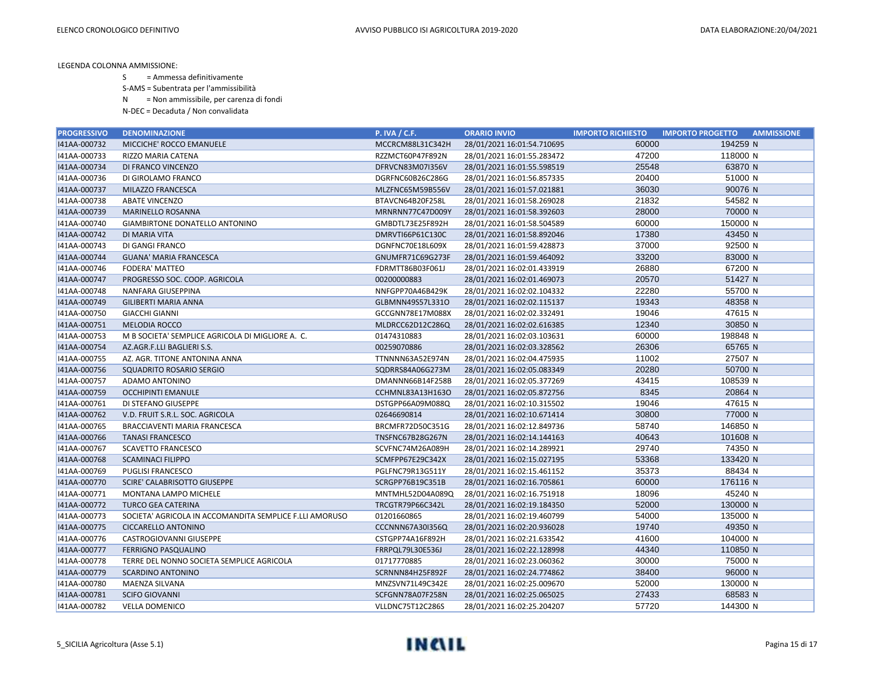S = Ammessa definitivamente

S-AMS = Subentrata per l'ammissibilità

N = Non ammissibile, per carenza di fondi

| <b>PROGRESSIVO</b> | <b>DENOMINAZIONE</b>                                    | <b>P. IVA / C.F.</b>    | <b>ORARIO INVIO</b>        | <b>IMPORTO RICHIESTO</b> | <b>IMPORTO PROGETTO</b><br><b>AMMISSIONE</b> |
|--------------------|---------------------------------------------------------|-------------------------|----------------------------|--------------------------|----------------------------------------------|
| 141AA-000732       | MICCICHE' ROCCO EMANUELE                                | MCCRCM88L31C342H        | 28/01/2021 16:01:54.710695 | 60000                    | 194259 N                                     |
| I41AA-000733       | RIZZO MARIA CATENA                                      | RZZMCT60P47F892N        | 28/01/2021 16:01:55.283472 | 47200                    | 118000 N                                     |
| I41AA-000734       | DI FRANCO VINCENZO                                      | DFRVCN83M07I356V        | 28/01/2021 16:01:55.598519 | 25548                    | 63870 N                                      |
| I41AA-000736       | DI GIROLAMO FRANCO                                      | DGRFNC60B26C286G        | 28/01/2021 16:01:56.857335 | 20400                    | 51000 N                                      |
| I41AA-000737       | MILAZZO FRANCESCA                                       | MLZFNC65M59B556V        | 28/01/2021 16:01:57.021881 | 36030                    | 90076 N                                      |
| I41AA-000738       | <b>ABATE VINCENZO</b>                                   | BTAVCN64B20F258L        | 28/01/2021 16:01:58.269028 | 21832                    | 54582 N                                      |
| I41AA-000739       | <b>MARINELLO ROSANNA</b>                                | MRNRNN77C47D009Y        | 28/01/2021 16:01:58.392603 | 28000                    | 70000 N                                      |
| I41AA-000740       | <b>GIAMBIRTONE DONATELLO ANTONINO</b>                   | GMBDTL73E25F892H        | 28/01/2021 16:01:58.504589 | 60000                    | 150000 N                                     |
| I41AA-000742       | <b>DI MARIA VITA</b>                                    | DMRVTI66P61C130C        | 28/01/2021 16:01:58.892046 | 17380                    | 43450 N                                      |
| I41AA-000743       | DI GANGI FRANCO                                         | DGNFNC70E18L609X        | 28/01/2021 16:01:59.428873 | 37000                    | 92500 N                                      |
| I41AA-000744       | <b>GUANA' MARIA FRANCESCA</b>                           | GNUMFR71C69G273F        | 28/01/2021 16:01:59.464092 | 33200                    | 83000 N                                      |
| I41AA-000746       | <b>FODERA' MATTEO</b>                                   | FDRMTT86B03F061J        | 28/01/2021 16:02:01.433919 | 26880                    | 67200 N                                      |
| I41AA-000747       | PROGRESSO SOC. COOP. AGRICOLA                           | 00200000883             | 28/01/2021 16:02:01.469073 | 20570                    | 51427 N                                      |
| I41AA-000748       | NANFARA GIUSEPPINA                                      | NNFGPP70A46B429K        | 28/01/2021 16:02:02.104332 | 22280                    | 55700 N                                      |
| I41AA-000749       | <b>GILIBERTI MARIA ANNA</b>                             | GLBMNN49S57L331O        | 28/01/2021 16:02:02.115137 | 19343                    | 48358 N                                      |
| I41AA-000750       | <b>GIACCHI GIANNI</b>                                   | GCCGNN78E17M088X        | 28/01/2021 16:02:02.332491 | 19046                    | 47615 N                                      |
| I41AA-000751       | MELODIA ROCCO                                           | MLDRCC62D12C286Q        | 28/01/2021 16:02:02.616385 | 12340                    | 30850 N                                      |
| I41AA-000753       | M B SOCIETA' SEMPLICE AGRICOLA DI MIGLIORE A. C.        | 01474310883             | 28/01/2021 16:02:03.103631 | 60000                    | 198848 N                                     |
| I41AA-000754       | AZ.AGR.F.LLI BAGLIERI S.S.                              | 00259070886             | 28/01/2021 16:02:03.328562 | 26306                    | 65765 N                                      |
| I41AA-000755       | AZ. AGR. TITONE ANTONINA ANNA                           | TTNNNN63A52E974N        | 28/01/2021 16:02:04.475935 | 11002                    | 27507 N                                      |
| I41AA-000756       | SQUADRITO ROSARIO SERGIO                                | SQDRRS84A06G273M        | 28/01/2021 16:02:05.083349 | 20280                    | 50700 N                                      |
| I41AA-000757       | ADAMO ANTONINO                                          | DMANNN66B14F258B        | 28/01/2021 16:02:05.377269 | 43415                    | 108539 N                                     |
| I41AA-000759       | <b>OCCHIPINTI EMANULE</b>                               | CCHMNL83A13H163O        | 28/01/2021 16:02:05.872756 | 8345                     | 20864 N                                      |
| I41AA-000761       | DI STEFANO GIUSEPPE                                     | DSTGPP66A09M088Q        | 28/01/2021 16:02:10.315502 | 19046                    | 47615 N                                      |
| 141AA-000762       | V.D. FRUIT S.R.L. SOC. AGRICOLA                         | 02646690814             | 28/01/2021 16:02:10.671414 | 30800                    | 77000 N                                      |
| I41AA-000765       | BRACCIAVENTI MARIA FRANCESCA                            | BRCMFR72D50C351G        | 28/01/2021 16:02:12.849736 | 58740                    | 146850 N                                     |
| I41AA-000766       | <b>TANASI FRANCESCO</b>                                 | TNSFNC67B28G267N        | 28/01/2021 16:02:14.144163 | 40643                    | 101608 N                                     |
| I41AA-000767       | <b>SCAVETTO FRANCESCO</b>                               | SCVFNC74M26A089H        | 28/01/2021 16:02:14.289921 | 29740                    | 74350 N                                      |
| 141AA-000768       | <b>SCAMINACI FILIPPO</b>                                | SCMFPP67E29C342X        | 28/01/2021 16:02:15.027195 | 53368                    | 133420 N                                     |
| I41AA-000769       | <b>PUGLISI FRANCESCO</b>                                | PGLFNC79R13G511Y        | 28/01/2021 16:02:15.461152 | 35373                    | 88434 N                                      |
| I41AA-000770       | SCIRE' CALABRISOTTO GIUSEPPE                            | SCRGPP76B19C351B        | 28/01/2021 16:02:16.705861 | 60000                    | 176116 N                                     |
| I41AA-000771       | MONTANA LAMPO MICHELE                                   | MNTMHL52D04A089Q        | 28/01/2021 16:02:16.751918 | 18096                    | 45240 N                                      |
| I41AA-000772       | <b>TURCO GEA CATERINA</b>                               | TRCGTR79P66C342L        | 28/01/2021 16:02:19.184350 | 52000                    | 130000 N                                     |
| I41AA-000773       | SOCIETA' AGRICOLA IN ACCOMANDITA SEMPLICE F.LLI AMORUSO | 01201660865             | 28/01/2021 16:02:19.460799 | 54000                    | 135000 N                                     |
| I41AA-000775       | <b>CICCARELLO ANTONINO</b>                              | <b>CCCNNN67A30I356Q</b> | 28/01/2021 16:02:20.936028 | 19740                    | 49350 N                                      |
| I41AA-000776       | CASTROGIOVANNI GIUSEPPE                                 | CSTGPP74A16F892H        | 28/01/2021 16:02:21.633542 | 41600                    | 104000 N                                     |
| I41AA-000777       | <b>FERRIGNO PASQUALINO</b>                              | FRRPQL79L30E536J        | 28/01/2021 16:02:22.128998 | 44340                    | 110850 N                                     |
| I41AA-000778       | TERRE DEL NONNO SOCIETA SEMPLICE AGRICOLA               | 01717770885             | 28/01/2021 16:02:23.060362 | 30000                    | 75000 N                                      |
| I41AA-000779       | <b>SCARDINO ANTONINO</b>                                | SCRNNN84H25F892F        | 28/01/2021 16:02:24.774862 | 38400                    | 96000 N                                      |
| I41AA-000780       | MAENZA SILVANA                                          | MNZSVN71L49C342E        | 28/01/2021 16:02:25.009670 | 52000                    | 130000 N                                     |
| I41AA-000781       | <b>SCIFO GIOVANNI</b>                                   | SCFGNN78A07F258N        | 28/01/2021 16:02:25.065025 | 27433                    | 68583 N                                      |
| 141AA-000782       | <b>VELLA DOMENICO</b>                                   | VLLDNC75T12C286S        | 28/01/2021 16:02:25.204207 | 57720                    | 144300 N                                     |

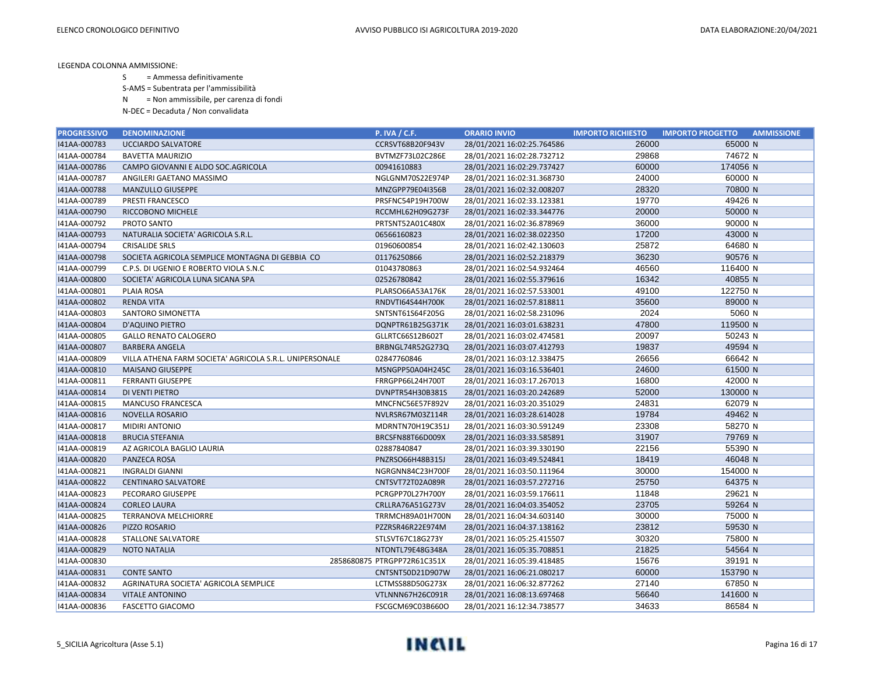S = Ammessa definitivamente

S-AMS = Subentrata per l'ammissibilità

N = Non ammissibile, per carenza di fondi

| <b>PROGRESSIVO</b> | <b>DENOMINAZIONE</b>                                    | <b>P. IVA / C.F.</b>        | <b>ORARIO INVIO</b>        | <b>IMPORTO RICHIESTO</b> | <b>IMPORTO PROGETTO</b><br><b>AMMISSIONE</b> |
|--------------------|---------------------------------------------------------|-----------------------------|----------------------------|--------------------------|----------------------------------------------|
| I41AA-000783       | <b>UCCIARDO SALVATORE</b>                               | CCRSVT68B20F943V            | 28/01/2021 16:02:25.764586 | 26000                    | 65000 N                                      |
| I41AA-000784       | <b>BAVETTA MAURIZIO</b>                                 | BVTMZF73L02C286E            | 28/01/2021 16:02:28.732712 | 29868                    | 74672 N                                      |
| I41AA-000786       | CAMPO GIOVANNI E ALDO SOC.AGRICOLA                      | 00941610883                 | 28/01/2021 16:02:29.737427 | 60000                    | 174056 N                                     |
| I41AA-000787       | ANGILERI GAETANO MASSIMO                                | NGLGNM70S22E974P            | 28/01/2021 16:02:31.368730 | 24000                    | 60000 N                                      |
| I41AA-000788       | MANZULLO GIUSEPPE                                       | MNZGPP79E04I356B            | 28/01/2021 16:02:32.008207 | 28320                    | 70800 N                                      |
| I41AA-000789       | PRESTI FRANCESCO                                        | PRSFNC54P19H700W            | 28/01/2021 16:02:33.123381 | 19770                    | 49426 N                                      |
| I41AA-000790       | RICCOBONO MICHELE                                       | RCCMHL62H09G273F            | 28/01/2021 16:02:33.344776 | 20000                    | 50000 N                                      |
| I41AA-000792       | PROTO SANTO                                             | PRTSNT52A01C480X            | 28/01/2021 16:02:36.878969 | 36000                    | 90000 N                                      |
| I41AA-000793       | NATURALIA SOCIETA' AGRICOLA S.R.L.                      | 06566160823                 | 28/01/2021 16:02:38.022350 | 17200                    | 43000 N                                      |
| I41AA-000794       | <b>CRISALIDE SRLS</b>                                   | 01960600854                 | 28/01/2021 16:02:42.130603 | 25872                    | 64680 N                                      |
| I41AA-000798       | SOCIETA AGRICOLA SEMPLICE MONTAGNA DI GEBBIA CO         | 01176250866                 | 28/01/2021 16:02:52.218379 | 36230                    | 90576 N                                      |
| I41AA-000799       | C.P.S. DI UGENIO E ROBERTO VIOLA S.N.C                  | 01043780863                 | 28/01/2021 16:02:54.932464 | 46560                    | 116400 N                                     |
| 141AA-000800       | SOCIETA' AGRICOLA LUNA SICANA SPA                       | 02526780842                 | 28/01/2021 16:02:55.379616 | 16342                    | 40855 N                                      |
| I41AA-000801       | PLAIA ROSA                                              | PLARSO66A53A176K            | 28/01/2021 16:02:57.533001 | 49100                    | 122750 N                                     |
| I41AA-000802       | <b>RENDA VITA</b>                                       | RNDVTI64S44H700K            | 28/01/2021 16:02:57.818811 | 35600                    | 89000 N                                      |
| I41AA-000803       | SANTORO SIMONETTA                                       | SNTSNT61S64F205G            | 28/01/2021 16:02:58.231096 | 2024                     | 5060 N                                       |
| 141AA-000804       | <b>D'AQUINO PIETRO</b>                                  | DQNPTR61B25G371K            | 28/01/2021 16:03:01.638231 | 47800                    | 119500 N                                     |
| I41AA-000805       | <b>GALLO RENATO CALOGERO</b>                            | GLLRTC66S12B602T            | 28/01/2021 16:03:02.474581 | 20097                    | 50243 N                                      |
| I41AA-000807       | <b>BARBERA ANGELA</b>                                   | BRBNGL74R52G273Q            | 28/01/2021 16:03:07.412793 | 19837                    | 49594 N                                      |
| I41AA-000809       | VILLA ATHENA FARM SOCIETA' AGRICOLA S.R.L. UNIPERSONALE | 02847760846                 | 28/01/2021 16:03:12.338475 | 26656                    | 66642 N                                      |
| 141AA-000810       | <b>MAISANO GIUSEPPE</b>                                 | MSNGPP50A04H245C            | 28/01/2021 16:03:16.536401 | 24600                    | 61500 N                                      |
| I41AA-000811       | <b>FERRANTI GIUSEPPE</b>                                | FRRGPP66L24H700T            | 28/01/2021 16:03:17.267013 | 16800                    | 42000 N                                      |
| I41AA-000814       | DI VENTI PIETRO                                         | DVNPTR54H30B381S            | 28/01/2021 16:03:20.242689 | 52000                    | 130000 N                                     |
| I41AA-000815       | <b>MANCUSO FRANCESCA</b>                                | MNCFNC56E57F892V            | 28/01/2021 16:03:20.351029 | 24831                    | 62079 N                                      |
| 141AA-000816       | <b>NOVELLA ROSARIO</b>                                  | NVLRSR67M03Z114R            | 28/01/2021 16:03:28.614028 | 19784                    | 49462 N                                      |
| I41AA-000817       | <b>MIDIRI ANTONIO</b>                                   | MDRNTN70H19C351J            | 28/01/2021 16:03:30.591249 | 23308                    | 58270 N                                      |
| I41AA-000818       | <b>BRUCIA STEFANIA</b>                                  | BRCSFN88T66D009X            | 28/01/2021 16:03:33.585891 | 31907                    | 79769 N                                      |
| I41AA-000819       | AZ AGRICOLA BAGLIO LAURIA                               | 02887840847                 | 28/01/2021 16:03:39.330190 | 22156                    | 55390 N                                      |
| 141AA-000820       | PANZECA ROSA                                            | PNZRSO66H48B315J            | 28/01/2021 16:03:49.524841 | 18419                    | 46048 N                                      |
| I41AA-000821       | <b>INGRALDI GIANNI</b>                                  | NGRGNN84C23H700F            | 28/01/2021 16:03:50.111964 | 30000                    | 154000 N                                     |
| I41AA-000822       | <b>CENTINARO SALVATORE</b>                              | CNTSVT72T02A089R            | 28/01/2021 16:03:57.272716 | 25750                    | 64375 N                                      |
| I41AA-000823       | PECORARO GIUSEPPE                                       | PCRGPP70L27H700Y            | 28/01/2021 16:03:59.176611 | 11848                    | 29621 N                                      |
| 141AA-000824       | <b>CORLEO LAURA</b>                                     | CRLLRA76A51G273V            | 28/01/2021 16:04:03.354052 | 23705                    | 59264 N                                      |
| I41AA-000825       | <b>TERRANOVA MELCHIORRE</b>                             | TRRMCH89A01H700N            | 28/01/2021 16:04:34.603140 | 30000                    | 75000 N                                      |
| I41AA-000826       | PIZZO ROSARIO                                           | PZZRSR46R22E974M            | 28/01/2021 16:04:37.138162 | 23812                    | 59530 N                                      |
| I41AA-000828       | STALLONE SALVATORE                                      | STLSVT67C18G273Y            | 28/01/2021 16:05:25.415507 | 30320                    | 75800 N                                      |
| 141AA-000829       | <b>NOTO NATALIA</b>                                     | NTONTL79E48G348A            | 28/01/2021 16:05:35.708851 | 21825                    | 54564 N                                      |
| I41AA-000830       |                                                         | 2858680875 PTRGPP72R61C351X | 28/01/2021 16:05:39.418485 | 15676                    | 39191 N                                      |
| I41AA-000831       | <b>CONTE SANTO</b>                                      | CNTSNT50D21D907W            | 28/01/2021 16:06:21.080217 | 60000                    | 153790 N                                     |
| I41AA-000832       | AGRINATURA SOCIETA' AGRICOLA SEMPLICE                   | LCTMSS88D50G273X            | 28/01/2021 16:06:32.877262 | 27140                    | 67850 N                                      |
| 141AA-000834       | <b>VITALE ANTONINO</b>                                  | VTLNNN67H26C091R            | 28/01/2021 16:08:13.697468 | 56640                    | 141600 N                                     |
| 141AA-000836       | <b>FASCETTO GIACOMO</b>                                 | FSCGCM69C03B660O            | 28/01/2021 16:12:34.738577 | 34633                    | 86584 N                                      |